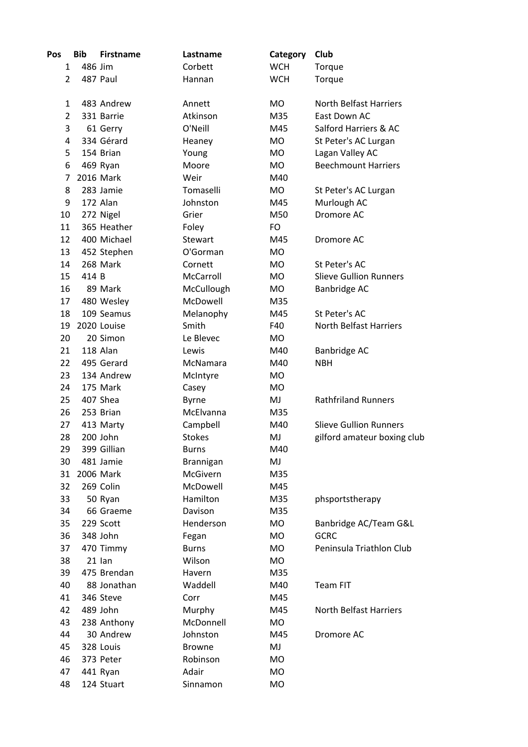| Pos            | <b>Bib</b> | <b>Firstname</b> | Lastname      | Category   | Club                          |
|----------------|------------|------------------|---------------|------------|-------------------------------|
| 1              | 486 Jim    |                  | Corbett       | <b>WCH</b> | Torque                        |
| $\overline{2}$ |            | 487 Paul         | Hannan        | <b>WCH</b> | Torque                        |
| 1              |            | 483 Andrew       | Annett        | <b>MO</b>  | <b>North Belfast Harriers</b> |
| $\overline{2}$ |            | 331 Barrie       | Atkinson      | M35        | East Down AC                  |
| 3              |            | 61 Gerry         | O'Neill       | M45        | Salford Harriers & AC         |
| 4              |            | 334 Gérard       | Heaney        | MO         | St Peter's AC Lurgan          |
| 5              |            | 154 Brian        | Young         | <b>MO</b>  | Lagan Valley AC               |
| 6              |            | 469 Ryan         | Moore         | <b>MO</b>  | <b>Beechmount Harriers</b>    |
| 7              |            | 2016 Mark        | Weir          | M40        |                               |
| 8              |            | 283 Jamie        | Tomaselli     | <b>MO</b>  | St Peter's AC Lurgan          |
| 9              |            | 172 Alan         | Johnston      | M45        | Murlough AC                   |
| 10             |            | 272 Nigel        | Grier         | M50        | Dromore AC                    |
| 11             |            | 365 Heather      | Foley         | <b>FO</b>  |                               |
| 12             |            | 400 Michael      | Stewart       | M45        | Dromore AC                    |
| 13             |            | 452 Stephen      | O'Gorman      | <b>MO</b>  |                               |
| 14             |            | 268 Mark         | Cornett       | <b>MO</b>  | St Peter's AC                 |
| 15             | 414 B      |                  | McCarroll     | <b>MO</b>  | <b>Slieve Gullion Runners</b> |
| 16             |            | 89 Mark          | McCullough    | <b>MO</b>  | Banbridge AC                  |
| 17             |            | 480 Wesley       | McDowell      | M35        |                               |
| 18             |            | 109 Seamus       | Melanophy     | M45        | St Peter's AC                 |
| 19             |            | 2020 Louise      | Smith         | F40        | <b>North Belfast Harriers</b> |
| 20             |            | 20 Simon         | Le Blevec     | MO         |                               |
| 21             |            | 118 Alan         | Lewis         | M40        | <b>Banbridge AC</b>           |
| 22             |            | 495 Gerard       | McNamara      | M40        | <b>NBH</b>                    |
| 23             |            | 134 Andrew       | McIntyre      | <b>MO</b>  |                               |
| 24             |            | 175 Mark         | Casey         | <b>MO</b>  |                               |
| 25             |            | 407 Shea         | <b>Byrne</b>  | MJ         | <b>Rathfriland Runners</b>    |
| 26             |            | 253 Brian        | McElvanna     | M35        |                               |
| 27             |            | 413 Marty        | Campbell      | M40        | <b>Slieve Gullion Runners</b> |
| 28             |            | 200 John         | <b>Stokes</b> | MJ         | gilford amateur boxing club   |
| 29             |            | 399 Gillian      | <b>Burns</b>  | M40        |                               |
| 30             |            | 481 Jamie        | Brannigan     | MJ         |                               |
| 31             |            | 2006 Mark        | McGivern      | M35        |                               |
| 32             |            | 269 Colin        | McDowell      | M45        |                               |
| 33             |            | 50 Ryan          | Hamilton      | M35        | phsportstherapy               |
| 34             |            | 66 Graeme        | Davison       | M35        |                               |
| 35             |            | 229 Scott        | Henderson     | <b>MO</b>  | Banbridge AC/Team G&L         |
| 36             |            | 348 John         | Fegan         | <b>MO</b>  | <b>GCRC</b>                   |
| 37             |            | 470 Timmy        | <b>Burns</b>  | MO         | Peninsula Triathlon Club      |
| 38             |            | $21$ lan         | Wilson        | <b>MO</b>  |                               |
| 39             |            | 475 Brendan      | Havern        | M35        |                               |
| 40             |            | 88 Jonathan      | Waddell       | M40        | <b>Team FIT</b>               |
| 41             |            | 346 Steve        | Corr          | M45        |                               |
| 42             |            | 489 John         | Murphy        | M45        | <b>North Belfast Harriers</b> |
| 43             |            | 238 Anthony      | McDonnell     | MO         |                               |
| 44             |            | 30 Andrew        | Johnston      | M45        | Dromore AC                    |
| 45             |            | 328 Louis        | <b>Browne</b> | MJ         |                               |
| 46             |            | 373 Peter        | Robinson      | <b>MO</b>  |                               |
| 47             |            | 441 Ryan         | Adair         | <b>MO</b>  |                               |
| 48             |            | 124 Stuart       | Sinnamon      | MO         |                               |
|                |            |                  |               |            |                               |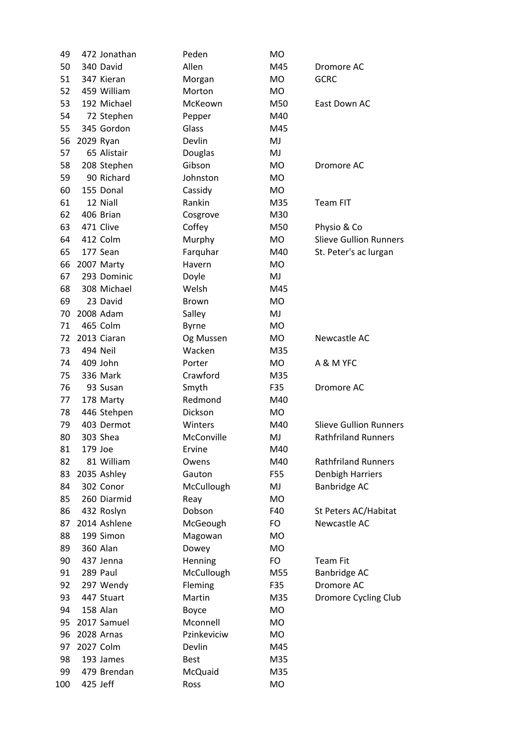| 49  |           | 472 Jonathan | Peden        | <b>MO</b> |                               |
|-----|-----------|--------------|--------------|-----------|-------------------------------|
| 50  |           | 340 David    | Allen        | M45       | Dromore AC                    |
| 51  |           | 347 Kieran   | Morgan       | <b>MO</b> | <b>GCRC</b>                   |
| 52  |           | 459 William  | Morton       | MO        |                               |
| 53  |           | 192 Michael  | McKeown      | M50       | East Down AC                  |
| 54  |           | 72 Stephen   | Pepper       | M40       |                               |
| 55  |           | 345 Gordon   | Glass        | M45       |                               |
| 56  | 2029 Ryan |              | Devlin       | MJ        |                               |
| 57  |           | 65 Alistair  | Douglas      | MJ        |                               |
| 58  |           | 208 Stephen  | Gibson       | MO        | Dromore AC                    |
| 59  |           | 90 Richard   | Johnston     | <b>MO</b> |                               |
| 60  |           | 155 Donal    | Cassidy      | MO        |                               |
| 61  |           | 12 Niall     | Rankin       | M35       | Team FIT                      |
| 62  |           | 406 Brian    | Cosgrove     | M30       |                               |
| 63  |           | 471 Clive    | Coffey       | M50       | Physio & Co                   |
| 64  |           | 412 Colm     | Murphy       | <b>MO</b> | <b>Slieve Gullion Runners</b> |
| 65  |           | 177 Sean     | Farquhar     | M40       | St. Peter's ac lurgan         |
| 66  |           | 2007 Marty   | Havern       | MO        |                               |
| 67  |           | 293 Dominic  | Doyle        | MJ        |                               |
| 68  |           | 308 Michael  | Welsh        | M45       |                               |
| 69  |           | 23 David     | <b>Brown</b> | <b>MO</b> |                               |
| 70  |           | 2008 Adam    | Salley       | MJ        |                               |
| 71  |           | 465 Colm     | <b>Byrne</b> | MO        |                               |
| 72  |           | 2013 Ciaran  | Og Mussen    | MO        | Newcastle AC                  |
| 73  |           | 494 Neil     | Wacken       | M35       |                               |
| 74  |           | 409 John     | Porter       | MO        | A & M YFC                     |
| 75  |           | 336 Mark     | Crawford     | M35       |                               |
| 76  |           | 93 Susan     | Smyth        | F35       | Dromore AC                    |
| 77  |           | 178 Marty    | Redmond      | M40       |                               |
| 78  |           | 446 Stehpen  | Dickson      | MO        |                               |
| 79  |           | 403 Dermot   | Winters      | M40       | <b>Slieve Gullion Runners</b> |
| 80  |           | 303 Shea     | McConville   | MJ        | <b>Rathfriland Runners</b>    |
| 81  | 179 Joe   |              | Ervine       | M40       |                               |
| 82  |           | 81 William   | Owens        | M40       | <b>Rathfriland Runners</b>    |
| 83  |           | 2035 Ashley  | Gauton       | F55       | <b>Denbigh Harriers</b>       |
| 84  |           | 302 Conor    | McCullough   | MJ        | Banbridge AC                  |
| 85  |           | 260 Diarmid  | Reay         | MO        |                               |
| 86  |           | 432 Roslyn   | Dobson       | F40       | St Peters AC/Habitat          |
| 87  |           | 2014 Ashlene | McGeough     | FO        | Newcastle AC                  |
| 88  |           | 199 Simon    | Magowan      | MO        |                               |
| 89  |           | 360 Alan     | Dowey        | <b>MO</b> |                               |
| 90  |           | 437 Jenna    | Henning      | FO        | <b>Team Fit</b>               |
| 91  |           | 289 Paul     | McCullough   | M55       | Banbridge AC                  |
| 92  |           | 297 Wendy    | Fleming      | F35       | Dromore AC                    |
| 93  |           | 447 Stuart   | Martin       | M35       | Dromore Cycling Club          |
| 94  |           | 158 Alan     | Boyce        | MO        |                               |
| 95  |           | 2017 Samuel  | Mconnell     | MO        |                               |
| 96  |           | 2028 Arnas   | Pzinkeviciw  | MO        |                               |
| 97  |           | 2027 Colm    | Devlin       | M45       |                               |
| 98  |           | 193 James    | <b>Best</b>  | M35       |                               |
| 99  |           | 479 Brendan  | McQuaid      | M35       |                               |
| 100 |           | 425 Jeff     | Ross         | MO        |                               |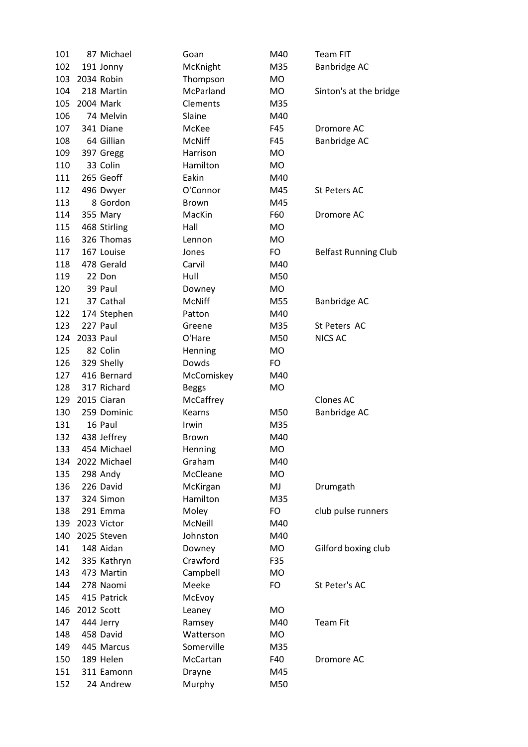| 101 |            | 87 Michael   | Goan          | M40       | <b>Team FIT</b>             |
|-----|------------|--------------|---------------|-----------|-----------------------------|
| 102 |            | 191 Jonny    | McKnight      | M35       | Banbridge AC                |
| 103 | 2034 Robin |              | Thompson      | MO        |                             |
| 104 |            | 218 Martin   | McParland     | MO        | Sinton's at the bridge      |
| 105 |            | 2004 Mark    | Clements      | M35       |                             |
| 106 |            | 74 Melvin    | Slaine        | M40       |                             |
| 107 |            | 341 Diane    | McKee         | F45       | Dromore AC                  |
| 108 |            | 64 Gillian   | <b>McNiff</b> | F45       | Banbridge AC                |
| 109 |            | 397 Gregg    | Harrison      | MO        |                             |
| 110 |            | 33 Colin     | Hamilton      | <b>MO</b> |                             |
| 111 |            | 265 Geoff    | Eakin         | M40       |                             |
| 112 |            | 496 Dwyer    | O'Connor      | M45       | <b>St Peters AC</b>         |
| 113 |            | 8 Gordon     | Brown         | M45       |                             |
| 114 |            | 355 Mary     | MacKin        | F60       | Dromore AC                  |
| 115 |            | 468 Stirling | Hall          | MO        |                             |
| 116 |            | 326 Thomas   | Lennon        | MO        |                             |
| 117 |            | 167 Louise   | Jones         | <b>FO</b> | <b>Belfast Running Club</b> |
| 118 |            | 478 Gerald   | Carvil        | M40       |                             |
| 119 |            | 22 Don       | Hull          | M50       |                             |
| 120 |            | 39 Paul      | Downey        | MO        |                             |
| 121 |            | 37 Cathal    | <b>McNiff</b> | M55       | Banbridge AC                |
| 122 |            |              | Patton        | M40       |                             |
|     |            | 174 Stephen  |               |           |                             |
| 123 |            | 227 Paul     | Greene        | M35       | St Peters AC                |
| 124 | 2033 Paul  |              | O'Hare        | M50       | <b>NICS AC</b>              |
| 125 |            | 82 Colin     | Henning       | MO        |                             |
| 126 |            | 329 Shelly   | Dowds         | <b>FO</b> |                             |
|     |            |              |               |           |                             |
| 127 |            | 416 Bernard  | McComiskey    | M40       |                             |
| 128 |            | 317 Richard  | <b>Beggs</b>  | <b>MO</b> |                             |
| 129 |            | 2015 Ciaran  | McCaffrey     |           | <b>Clones AC</b>            |
| 130 |            | 259 Dominic  | <b>Kearns</b> | M50       | Banbridge AC                |
| 131 |            | 16 Paul      | Irwin         | M35       |                             |
| 132 |            | 438 Jeffrey  | <b>Brown</b>  | M40       |                             |
| 133 |            | 454 Michael  | Henning       | <b>MO</b> |                             |
| 134 |            | 2022 Michael | Graham        | M40       |                             |
| 135 |            | 298 Andy     | McCleane      | MO        |                             |
| 136 |            | 226 David    | McKirgan      | MJ        | Drumgath                    |
| 137 |            | 324 Simon    | Hamilton      | M35       |                             |
| 138 |            | 291 Emma     | Moley         | FO        | club pulse runners          |
| 139 |            | 2023 Victor  | McNeill       | M40       |                             |
| 140 |            | 2025 Steven  | Johnston      | M40       |                             |
| 141 |            | 148 Aidan    | Downey        | MO        | Gilford boxing club         |
| 142 |            | 335 Kathryn  | Crawford      | F35       |                             |
| 143 |            | 473 Martin   | Campbell      | MO        |                             |
| 144 |            | 278 Naomi    | Meeke         | FO        | St Peter's AC               |
| 145 |            | 415 Patrick  | McEvoy        |           |                             |
| 146 |            | 2012 Scott   | Leaney        | MO        |                             |
| 147 |            | 444 Jerry    | Ramsey        | M40       | <b>Team Fit</b>             |
| 148 |            | 458 David    | Watterson     | MO        |                             |
| 149 |            | 445 Marcus   | Somerville    | M35       |                             |
| 150 |            | 189 Helen    | McCartan      | F40       | Dromore AC                  |
| 151 |            | 311 Eamonn   | Drayne        | M45       |                             |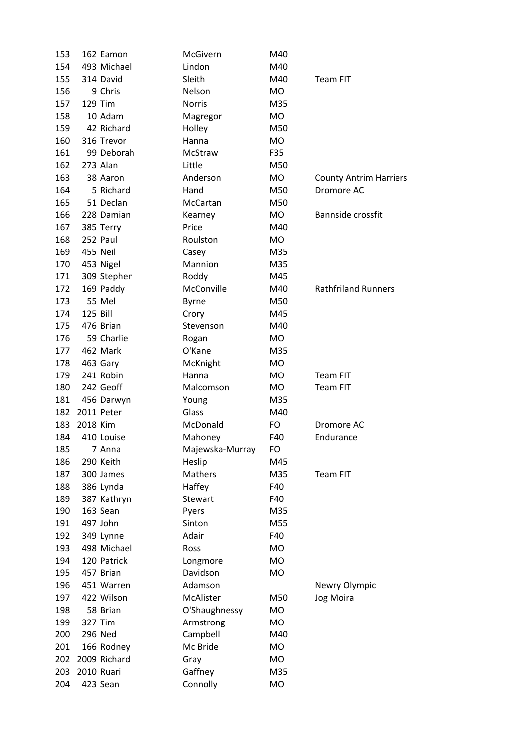| 153 | 162 Eamon    | McGivern        | M40       |                               |
|-----|--------------|-----------------|-----------|-------------------------------|
| 154 | 493 Michael  | Lindon          | M40       |                               |
| 155 | 314 David    | Sleith          | M40       | <b>Team FIT</b>               |
| 156 | 9 Chris      | Nelson          | MO        |                               |
| 157 | 129 Tim      | <b>Norris</b>   | M35       |                               |
| 158 | 10 Adam      | Magregor        | MO        |                               |
| 159 | 42 Richard   | Holley          | M50       |                               |
| 160 | 316 Trevor   | Hanna           | <b>MO</b> |                               |
| 161 | 99 Deborah   | McStraw         | F35       |                               |
| 162 | 273 Alan     | Little          | M50       |                               |
| 163 | 38 Aaron     | Anderson        | <b>MO</b> | <b>County Antrim Harriers</b> |
| 164 | 5 Richard    | Hand            | M50       | Dromore AC                    |
| 165 | 51 Declan    | McCartan        | M50       |                               |
| 166 | 228 Damian   | Kearney         | <b>MO</b> | Bannside crossfit             |
| 167 | 385 Terry    | Price           | M40       |                               |
| 168 | 252 Paul     | Roulston        | <b>MO</b> |                               |
| 169 | 455 Neil     | Casey           | M35       |                               |
| 170 | 453 Nigel    | Mannion         | M35       |                               |
| 171 | 309 Stephen  | Roddy           | M45       |                               |
| 172 | 169 Paddy    | McConville      | M40       | <b>Rathfriland Runners</b>    |
| 173 | 55 Mel       | <b>Byrne</b>    | M50       |                               |
| 174 | 125 Bill     | Crory           | M45       |                               |
| 175 | 476 Brian    | Stevenson       | M40       |                               |
| 176 | 59 Charlie   | Rogan           | <b>MO</b> |                               |
| 177 | 462 Mark     | O'Kane          | M35       |                               |
| 178 | 463 Gary     | McKnight        | MO        |                               |
| 179 | 241 Robin    | Hanna           | <b>MO</b> | Team FIT                      |
| 180 | 242 Geoff    | Malcomson       | MO        | Team FIT                      |
| 181 | 456 Darwyn   | Young           | M35       |                               |
| 182 | 2011 Peter   | Glass           | M40       |                               |
| 183 | 2018 Kim     | McDonald        | FO        | Dromore AC                    |
| 184 | 410 Louise   | Mahoney         | F40       | Endurance                     |
| 185 | 7 Anna       | Majewska-Murray | FO        |                               |
| 186 | 290 Keith    | Heslip          | M45       |                               |
| 187 | 300 James    | Mathers         | M35       | <b>Team FIT</b>               |
| 188 | 386 Lynda    | Haffey          | F40       |                               |
| 189 | 387 Kathryn  | Stewart         | F40       |                               |
| 190 | 163 Sean     | Pyers           | M35       |                               |
| 191 | 497 John     | Sinton          | M55       |                               |
| 192 | 349 Lynne    | Adair           | F40       |                               |
| 193 | 498 Michael  | Ross            | <b>MO</b> |                               |
| 194 | 120 Patrick  | Longmore        | <b>MO</b> |                               |
| 195 | 457 Brian    | Davidson        | <b>MO</b> |                               |
| 196 | 451 Warren   | Adamson         |           | Newry Olympic                 |
| 197 | 422 Wilson   | McAlister       | M50       | Jog Moira                     |
| 198 | 58 Brian     | O'Shaughnessy   | MO        |                               |
| 199 | 327 Tim      | Armstrong       | <b>MO</b> |                               |
| 200 | 296 Ned      | Campbell        | M40       |                               |
| 201 | 166 Rodney   | Mc Bride        | MO        |                               |
| 202 | 2009 Richard | Gray            | MO        |                               |
| 203 | 2010 Ruari   | Gaffney         | M35       |                               |
| 204 | 423 Sean     | Connolly        | MO        |                               |
|     |              |                 |           |                               |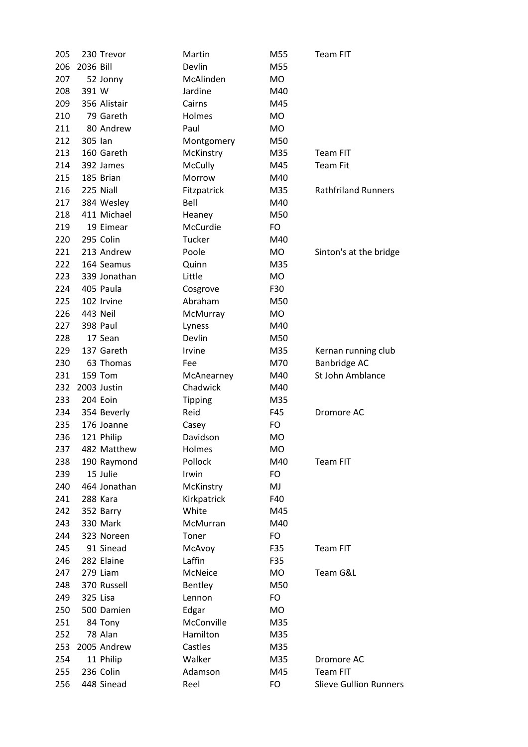| 205 |           | 230 Trevor   | Martin         | M55       | <b>Team FIT</b>               |
|-----|-----------|--------------|----------------|-----------|-------------------------------|
| 206 | 2036 Bill |              | Devlin         | M55       |                               |
| 207 |           | 52 Jonny     | McAlinden      | <b>MO</b> |                               |
| 208 | 391 W     |              | Jardine        | M40       |                               |
| 209 |           | 356 Alistair | Cairns         | M45       |                               |
| 210 |           | 79 Gareth    | Holmes         | <b>MO</b> |                               |
| 211 |           | 80 Andrew    | Paul           | <b>MO</b> |                               |
| 212 | 305 lan   |              | Montgomery     | M50       |                               |
| 213 |           | 160 Gareth   | McKinstry      | M35       | <b>Team FIT</b>               |
| 214 |           | 392 James    | McCully        | M45       | <b>Team Fit</b>               |
| 215 |           | 185 Brian    | Morrow         | M40       |                               |
| 216 |           | 225 Niall    | Fitzpatrick    | M35       | <b>Rathfriland Runners</b>    |
| 217 |           | 384 Wesley   | Bell           | M40       |                               |
| 218 |           | 411 Michael  | Heaney         | M50       |                               |
| 219 |           | 19 Eimear    | McCurdie       | FO        |                               |
| 220 |           | 295 Colin    | Tucker         | M40       |                               |
| 221 |           | 213 Andrew   | Poole          | <b>MO</b> | Sinton's at the bridge        |
| 222 |           | 164 Seamus   | Quinn          | M35       |                               |
| 223 |           | 339 Jonathan | Little         | <b>MO</b> |                               |
| 224 |           | 405 Paula    | Cosgrove       | F30       |                               |
| 225 |           | 102 Irvine   | Abraham        | M50       |                               |
| 226 |           | 443 Neil     | McMurray       | <b>MO</b> |                               |
| 227 |           | 398 Paul     | Lyness         | M40       |                               |
| 228 |           | 17 Sean      | Devlin         | M50       |                               |
| 229 |           | 137 Gareth   | Irvine         | M35       | Kernan running club           |
| 230 |           | 63 Thomas    | Fee            | M70       | Banbridge AC                  |
| 231 |           | 159 Tom      | McAnearney     | M40       | St John Amblance              |
| 232 |           | 2003 Justin  | Chadwick       | M40       |                               |
| 233 |           | 204 Eoin     | <b>Tipping</b> | M35       |                               |
| 234 |           | 354 Beverly  | Reid           | F45       | Dromore AC                    |
| 235 |           | 176 Joanne   | Casey          | FO        |                               |
| 236 |           | 121 Philip   | Davidson       | <b>MO</b> |                               |
| 237 |           | 482 Matthew  | Holmes         | МO        |                               |
| 238 |           | 190 Raymond  | Pollock        | M40       | Team FIT                      |
| 239 |           | 15 Julie     | Irwin          | FO        |                               |
| 240 |           | 464 Jonathan | McKinstry      | MJ        |                               |
| 241 |           | 288 Kara     | Kirkpatrick    | F40       |                               |
| 242 |           | 352 Barry    | White          | M45       |                               |
| 243 |           | 330 Mark     | McMurran       | M40       |                               |
| 244 |           | 323 Noreen   | Toner          | FO        |                               |
| 245 |           | 91 Sinead    | McAvoy         | F35       | Team FIT                      |
| 246 |           | 282 Elaine   | Laffin         | F35       |                               |
| 247 |           | 279 Liam     | McNeice        | <b>MO</b> | Team G&L                      |
| 248 |           | 370 Russell  | Bentley        | M50       |                               |
| 249 | 325 Lisa  |              | Lennon         | FO        |                               |
| 250 |           | 500 Damien   | Edgar          | <b>MO</b> |                               |
| 251 |           | 84 Tony      | McConville     | M35       |                               |
| 252 |           | 78 Alan      | Hamilton       | M35       |                               |
| 253 |           | 2005 Andrew  | Castles        | M35       |                               |
| 254 |           | 11 Philip    | Walker         | M35       | Dromore AC                    |
| 255 |           | 236 Colin    | Adamson        | M45       | <b>Team FIT</b>               |
|     |           |              |                |           |                               |
| 256 |           | 448 Sinead   | Reel           | FO        | <b>Slieve Gullion Runners</b> |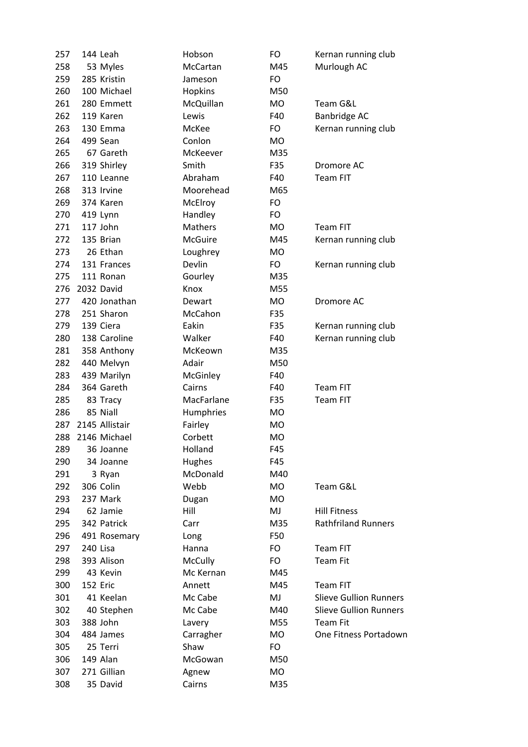| 257 |          | 144 Leah       | Hobson              | FO        | Kernan running club           |
|-----|----------|----------------|---------------------|-----------|-------------------------------|
| 258 |          | 53 Myles       | McCartan            | M45       | Murlough AC                   |
| 259 |          | 285 Kristin    | Jameson             | FO        |                               |
| 260 |          | 100 Michael    | Hopkins             | M50       |                               |
| 261 |          | 280 Emmett     | McQuillan           | <b>MO</b> | Team G&L                      |
| 262 |          | 119 Karen      | Lewis               | F40       | Banbridge AC                  |
| 263 |          | 130 Emma       | McKee               | FO        | Kernan running club           |
| 264 |          | 499 Sean       | Conlon              | <b>MO</b> |                               |
| 265 |          | 67 Gareth      | McKeever            | M35       |                               |
| 266 |          | 319 Shirley    | Smith               | F35       | Dromore AC                    |
| 267 |          | 110 Leanne     | Abraham             | F40       | <b>Team FIT</b>               |
| 268 |          | 313 Irvine     | Moorehead           | M65       |                               |
| 269 |          | 374 Karen      | McElroy             | FO        |                               |
| 270 |          | 419 Lynn       | Handley             | FO.       |                               |
| 271 |          | 117 John       | <b>Mathers</b>      | <b>MO</b> | <b>Team FIT</b>               |
| 272 |          | 135 Brian      | <b>McGuire</b>      | M45       | Kernan running club           |
| 273 |          | 26 Ethan       | Loughrey            | MO        |                               |
| 274 |          | 131 Frances    | Devlin              | FO        | Kernan running club           |
| 275 |          | 111 Ronan      | Gourley             | M35       |                               |
| 276 |          | 2032 David     | Knox                | M55       |                               |
| 277 |          | 420 Jonathan   | Dewart              | <b>MO</b> | Dromore AC                    |
| 278 |          | 251 Sharon     | McCahon             | F35       |                               |
| 279 |          | 139 Ciera      | Eakin               | F35       | Kernan running club           |
| 280 |          | 138 Caroline   | Walker              | F40       | Kernan running club           |
| 281 |          | 358 Anthony    | McKeown             | M35       |                               |
| 282 |          | 440 Melvyn     | Adair               | M50       |                               |
| 283 |          | 439 Marilyn    | McGinley            | F40       |                               |
| 284 |          | 364 Gareth     | Cairns              | F40       | <b>Team FIT</b>               |
| 285 |          | 83 Tracy       | MacFarlane          | F35       | Team FIT                      |
| 286 |          | 85 Niall       | Humphries           | MO        |                               |
| 287 |          | 2145 Allistair | Fairley             | MO        |                               |
| 288 |          | 2146 Michael   | Corbett             | МO        |                               |
| 289 |          | 36 Joanne      | Holland             | F45       |                               |
| 290 |          | 34 Joanne      | Hughes              | F45       |                               |
| 291 |          | 3 Ryan         | McDonald            | M40       |                               |
| 292 |          | 306 Colin      | Webb                | <b>MO</b> | Team G&L                      |
| 293 |          | 237 Mark       | Dugan               | <b>MO</b> |                               |
| 294 |          | 62 Jamie       | Hill                | MJ        | <b>Hill Fitness</b>           |
| 295 |          | 342 Patrick    | Carr                | M35       | <b>Rathfriland Runners</b>    |
| 296 |          | 491 Rosemary   | Long                | F50       |                               |
| 297 | 240 Lisa |                | Hanna               | FO        | <b>Team FIT</b>               |
| 298 |          | 393 Alison     | McCully             | FO.       | <b>Team Fit</b>               |
| 299 |          | 43 Kevin       | Mc Kernan           | M45       |                               |
| 300 | 152 Eric |                | Annett              | M45       | Team FIT                      |
| 301 |          | 41 Keelan      | Mc Cabe             | MJ        | <b>Slieve Gullion Runners</b> |
| 302 |          | 40 Stephen     | Mc Cabe             | M40       | <b>Slieve Gullion Runners</b> |
| 303 |          | 388 John       |                     | M55       | <b>Team Fit</b>               |
| 304 |          | 484 James      | Lavery<br>Carragher | MO        | One Fitness Portadown         |
| 305 |          | 25 Terri       | Shaw                | FO        |                               |
| 306 |          | 149 Alan       | McGowan             | M50       |                               |
| 307 |          | 271 Gillian    |                     | MO        |                               |
|     |          |                | Agnew               |           |                               |
| 308 |          | 35 David       | Cairns              | M35       |                               |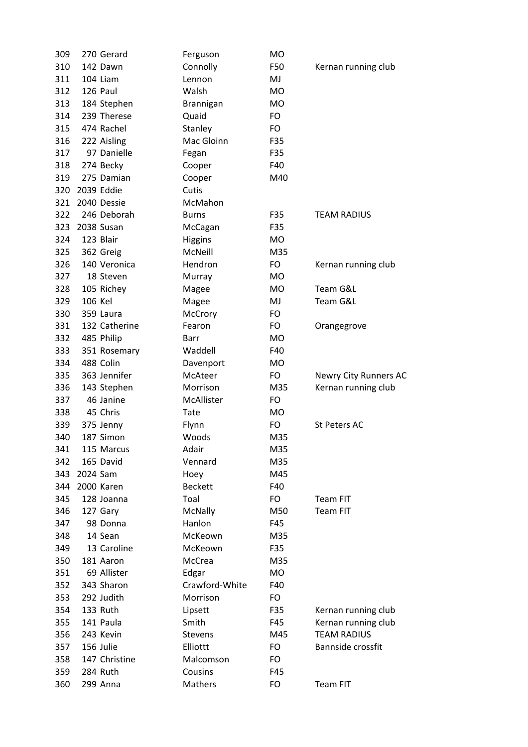| 309 |          | 270 Gerard    | Ferguson       | MO        |                       |
|-----|----------|---------------|----------------|-----------|-----------------------|
| 310 |          | 142 Dawn      | Connolly       | F50       | Kernan running club   |
| 311 |          | 104 Liam      | Lennon         | MJ        |                       |
| 312 |          | 126 Paul      | Walsh          | <b>MO</b> |                       |
| 313 |          | 184 Stephen   | Brannigan      | <b>MO</b> |                       |
| 314 |          | 239 Therese   | Quaid          | FO        |                       |
| 315 |          | 474 Rachel    | Stanley        | FO        |                       |
| 316 |          | 222 Aisling   | Mac Gloinn     | F35       |                       |
| 317 |          | 97 Danielle   | Fegan          | F35       |                       |
| 318 |          | 274 Becky     | Cooper         | F40       |                       |
| 319 |          | 275 Damian    | Cooper         | M40       |                       |
| 320 |          | 2039 Eddie    | Cutis          |           |                       |
| 321 |          | 2040 Dessie   | McMahon        |           |                       |
| 322 |          | 246 Deborah   | <b>Burns</b>   | F35       | <b>TEAM RADIUS</b>    |
| 323 |          | 2038 Susan    | McCagan        | F35       |                       |
| 324 |          | 123 Blair     | <b>Higgins</b> | <b>MO</b> |                       |
| 325 |          | 362 Greig     | McNeill        | M35       |                       |
| 326 |          | 140 Veronica  | Hendron        | FO        | Kernan running club   |
| 327 |          | 18 Steven     | Murray         | <b>MO</b> |                       |
|     |          | 105 Richey    |                | <b>MO</b> | Team G&L              |
| 328 | 106 Kel  |               | Magee          |           | Team G&L              |
| 329 |          |               | Magee          | MJ        |                       |
| 330 |          | 359 Laura     | McCrory        | FO        |                       |
| 331 |          | 132 Catherine | Fearon         | FO        | Orangegrove           |
| 332 |          | 485 Philip    | Barr           | <b>MO</b> |                       |
| 333 |          | 351 Rosemary  | Waddell        | F40       |                       |
| 334 |          | 488 Colin     | Davenport      | <b>MO</b> |                       |
| 335 |          | 363 Jennifer  | McAteer        | FO        | Newry City Runners AC |
| 336 |          | 143 Stephen   | Morrison       | M35       | Kernan running club   |
| 337 |          | 46 Janine     | McAllister     | FO        |                       |
| 338 |          | 45 Chris      | Tate           | <b>MO</b> |                       |
| 339 |          | 375 Jenny     | Flynn          | FO        | <b>St Peters AC</b>   |
| 340 |          | 187 Simon     | Woods          | M35       |                       |
| 341 |          | 115 Marcus    | Adair          | M35       |                       |
| 342 |          | 165 David     | Vennard        | M35       |                       |
| 343 | 2024 Sam |               | Hoey           | M45       |                       |
| 344 |          | 2000 Karen    | <b>Beckett</b> | F40       |                       |
| 345 |          | 128 Joanna    | Toal           | FO        | <b>Team FIT</b>       |
| 346 |          | 127 Gary      | McNally        | M50       | <b>Team FIT</b>       |
| 347 |          | 98 Donna      | Hanlon         | F45       |                       |
| 348 |          | 14 Sean       | McKeown        | M35       |                       |
| 349 |          | 13 Caroline   | McKeown        | F35       |                       |
| 350 |          | 181 Aaron     | McCrea         | M35       |                       |
| 351 |          | 69 Allister   | Edgar          | <b>MO</b> |                       |
| 352 |          | 343 Sharon    | Crawford-White | F40       |                       |
| 353 |          | 292 Judith    | Morrison       | FO.       |                       |
| 354 |          | 133 Ruth      | Lipsett        | F35       | Kernan running club   |
| 355 |          | 141 Paula     | Smith          | F45       | Kernan running club   |
| 356 |          | 243 Kevin     | <b>Stevens</b> | M45       | <b>TEAM RADIUS</b>    |
| 357 |          | 156 Julie     | Elliottt       | FO        | Bannside crossfit     |
| 358 |          | 147 Christine | Malcomson      | FO.       |                       |
| 359 |          | 284 Ruth      | Cousins        | F45       |                       |
| 360 |          | 299 Anna      | Mathers        | FO        | Team FIT              |
|     |          |               |                |           |                       |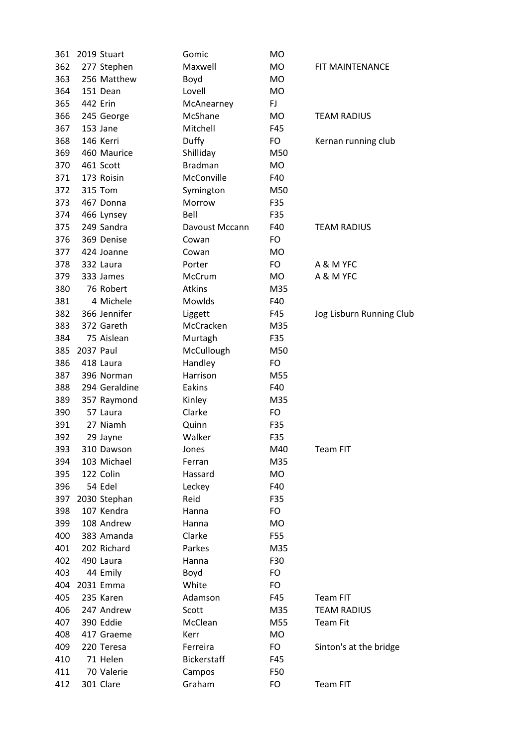| 361 |           | 2019 Stuart   | Gomic          | MO        |                          |
|-----|-----------|---------------|----------------|-----------|--------------------------|
| 362 |           | 277 Stephen   | Maxwell        | <b>MO</b> | FIT MAINTENANCE          |
| 363 |           | 256 Matthew   | Boyd           | <b>MO</b> |                          |
| 364 |           | 151 Dean      | Lovell         | <b>MO</b> |                          |
| 365 |           | 442 Erin      | McAnearney     | FJ.       |                          |
| 366 |           | 245 George    | McShane        | <b>MO</b> | <b>TEAM RADIUS</b>       |
| 367 |           | 153 Jane      | Mitchell       | F45       |                          |
| 368 |           | 146 Kerri     | Duffy          | FO        | Kernan running club      |
| 369 |           | 460 Maurice   | Shilliday      | M50       |                          |
| 370 |           | 461 Scott     | <b>Bradman</b> | <b>MO</b> |                          |
| 371 |           | 173 Roisin    | McConville     | F40       |                          |
| 372 |           | 315 Tom       | Symington      | M50       |                          |
| 373 |           | 467 Donna     | Morrow         | F35       |                          |
| 374 |           | 466 Lynsey    | Bell           | F35       |                          |
| 375 |           | 249 Sandra    | Davoust Mccann | F40       | <b>TEAM RADIUS</b>       |
| 376 |           | 369 Denise    | Cowan          | FO        |                          |
| 377 |           | 424 Joanne    | Cowan          | <b>MO</b> |                          |
| 378 |           | 332 Laura     | Porter         | FO        | A & M YFC                |
| 379 |           | 333 James     | McCrum         | <b>MO</b> | A & M YFC                |
| 380 |           | 76 Robert     | <b>Atkins</b>  | M35       |                          |
| 381 |           | 4 Michele     | Mowlds         | F40       |                          |
| 382 |           | 366 Jennifer  | Liggett        | F45       | Jog Lisburn Running Club |
| 383 |           | 372 Gareth    | McCracken      | M35       |                          |
| 384 |           | 75 Aislean    | Murtagh        | F35       |                          |
| 385 | 2037 Paul |               | McCullough     | M50       |                          |
| 386 |           | 418 Laura     | Handley        | FO        |                          |
| 387 |           | 396 Norman    | Harrison       | M55       |                          |
| 388 |           | 294 Geraldine | Eakins         | F40       |                          |
| 389 |           | 357 Raymond   | Kinley         | M35       |                          |
| 390 |           | 57 Laura      | Clarke         | FO        |                          |
| 391 |           | 27 Niamh      | Quinn          | F35       |                          |
| 392 |           | 29 Jayne      | Walker         | F35       |                          |
| 393 |           | 310 Dawson    | Jones          | M40       | Team FIT                 |
| 394 |           | 103 Michael   | Ferran         | M35       |                          |
| 395 |           | 122 Colin     | Hassard        | MO        |                          |
| 396 |           | 54 Edel       | Leckey         | F40       |                          |
| 397 |           | 2030 Stephan  | Reid           | F35       |                          |
| 398 |           | 107 Kendra    | Hanna          | FO        |                          |
| 399 |           | 108 Andrew    | Hanna          | <b>MO</b> |                          |
| 400 |           | 383 Amanda    | Clarke         | F55       |                          |
| 401 |           | 202 Richard   | Parkes         | M35       |                          |
| 402 |           | 490 Laura     | Hanna          | F30       |                          |
| 403 |           | 44 Emily      | Boyd           | FO        |                          |
| 404 |           | 2031 Emma     | White          | FO        |                          |
| 405 |           | 235 Karen     | Adamson        | F45       | Team FIT                 |
| 406 |           | 247 Andrew    | Scott          | M35       | <b>TEAM RADIUS</b>       |
| 407 |           | 390 Eddie     | McClean        | M55       | <b>Team Fit</b>          |
| 408 |           | 417 Graeme    | Kerr           | MO        |                          |
| 409 |           | 220 Teresa    | Ferreira       | FO        | Sinton's at the bridge   |
| 410 |           | 71 Helen      | Bickerstaff    | F45       |                          |
| 411 |           | 70 Valerie    | Campos         | F50       |                          |
| 412 |           | 301 Clare     | Graham         | FO        | Team FIT                 |
|     |           |               |                |           |                          |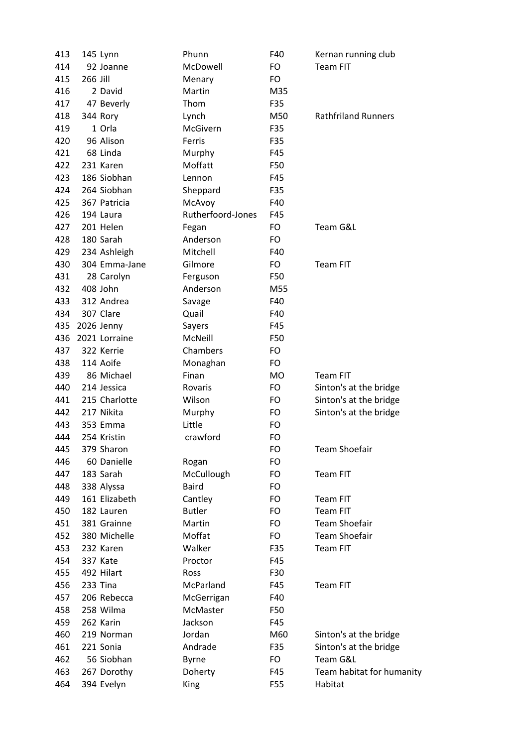| 413 |          | 145 Lynn      | Phunn             | F40       | Kernan running club        |
|-----|----------|---------------|-------------------|-----------|----------------------------|
| 414 |          | 92 Joanne     | McDowell          | FO        | Team FIT                   |
| 415 | 266 Jill |               | Menary            | FO        |                            |
| 416 |          | 2 David       | Martin            | M35       |                            |
| 417 |          | 47 Beverly    | Thom              | F35       |                            |
| 418 |          | 344 Rory      | Lynch             | M50       | <b>Rathfriland Runners</b> |
| 419 |          | 1 Orla        | McGivern          | F35       |                            |
| 420 |          | 96 Alison     | Ferris            | F35       |                            |
| 421 |          | 68 Linda      | Murphy            | F45       |                            |
| 422 |          | 231 Karen     | Moffatt           | F50       |                            |
| 423 |          | 186 Siobhan   | Lennon            | F45       |                            |
| 424 |          | 264 Siobhan   | Sheppard          | F35       |                            |
| 425 |          | 367 Patricia  | McAvoy            | F40       |                            |
| 426 |          | 194 Laura     | Rutherfoord-Jones | F45       |                            |
| 427 |          | 201 Helen     | Fegan             | FO        | Team G&L                   |
| 428 |          | 180 Sarah     | Anderson          | FO        |                            |
| 429 |          | 234 Ashleigh  | Mitchell          | F40       |                            |
| 430 |          | 304 Emma-Jane | Gilmore           | FO        | Team FIT                   |
| 431 |          | 28 Carolyn    | Ferguson          | F50       |                            |
| 432 |          | 408 John      | Anderson          | M55       |                            |
| 433 |          | 312 Andrea    | Savage            | F40       |                            |
| 434 |          | 307 Clare     | Quail             | F40       |                            |
| 435 |          | 2026 Jenny    | Sayers            | F45       |                            |
| 436 |          | 2021 Lorraine | McNeill           | F50       |                            |
| 437 |          | 322 Kerrie    | Chambers          | FO        |                            |
| 438 |          | 114 Aoife     | Monaghan          | FO        |                            |
| 439 |          | 86 Michael    | Finan             | <b>MO</b> | <b>Team FIT</b>            |
| 440 |          | 214 Jessica   | Rovaris           | FO        | Sinton's at the bridge     |
| 441 |          | 215 Charlotte | Wilson            | FO        | Sinton's at the bridge     |
| 442 |          | 217 Nikita    | Murphy            | FO        | Sinton's at the bridge     |
| 443 |          | 353 Emma      | Little            | FO        |                            |
| 444 |          | 254 Kristin   | crawford          | FO        |                            |
| 445 |          | 379 Sharon    |                   | FO        | <b>Team Shoefair</b>       |
| 446 |          | 60 Danielle   | Rogan             | FO        |                            |
| 447 |          | 183 Sarah     | McCullough        | FO        | Team FIT                   |
| 448 |          | 338 Alyssa    | <b>Baird</b>      | FO        |                            |
| 449 |          | 161 Elizabeth | Cantley           | FO        | Team FIT                   |
| 450 |          | 182 Lauren    | <b>Butler</b>     | FO        | Team FIT                   |
| 451 |          | 381 Grainne   | Martin            | FO        | <b>Team Shoefair</b>       |
| 452 |          | 380 Michelle  | Moffat            | FO        | <b>Team Shoefair</b>       |
| 453 |          | 232 Karen     | Walker            | F35       | Team FIT                   |
| 454 |          | 337 Kate      | Proctor           | F45       |                            |
| 455 |          | 492 Hilart    | Ross              | F30       |                            |
|     |          | 233 Tina      | McParland         | F45       | Team FIT                   |
| 456 |          |               |                   |           |                            |
| 457 |          | 206 Rebecca   | McGerrigan        | F40       |                            |
| 458 |          | 258 Wilma     | McMaster          | F50       |                            |
| 459 |          | 262 Karin     | Jackson           | F45       |                            |
| 460 |          | 219 Norman    | Jordan            | M60       | Sinton's at the bridge     |
| 461 |          | 221 Sonia     | Andrade           | F35       | Sinton's at the bridge     |
| 462 |          | 56 Siobhan    | Byrne             | FO        | Team G&L                   |
| 463 |          | 267 Dorothy   | Doherty           | F45       | Team habitat for humanity  |
| 464 |          | 394 Evelyn    | <b>King</b>       | F55       | Habitat                    |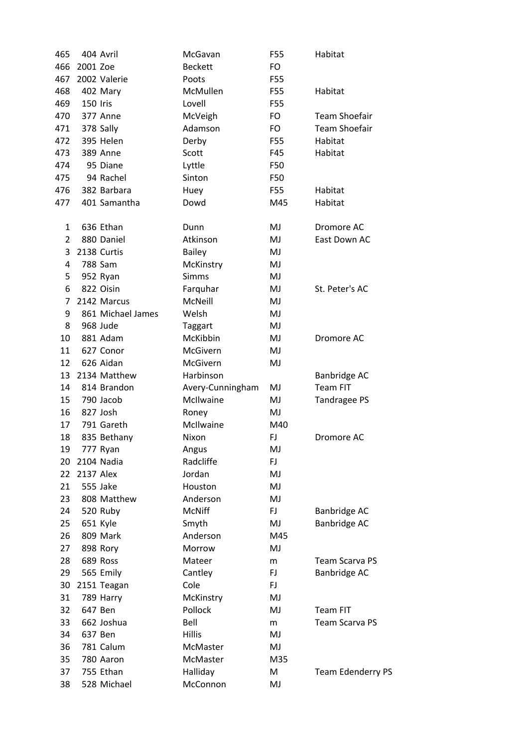| 465 |           | 404 Avril         | McGavan          | F55 | Habitat                  |
|-----|-----------|-------------------|------------------|-----|--------------------------|
| 466 | 2001 Zoe  |                   | <b>Beckett</b>   | FO. |                          |
| 467 |           | 2002 Valerie      | Poots            | F55 |                          |
| 468 |           | 402 Mary          | McMullen         | F55 | Habitat                  |
| 469 | 150 Iris  |                   | Lovell           | F55 |                          |
| 470 |           | 377 Anne          | McVeigh          | FO  | <b>Team Shoefair</b>     |
| 471 |           | 378 Sally         | Adamson          | FO. | <b>Team Shoefair</b>     |
| 472 |           | 395 Helen         | Derby            | F55 | Habitat                  |
| 473 |           | 389 Anne          | Scott            | F45 | Habitat                  |
| 474 |           | 95 Diane          | Lyttle           | F50 |                          |
| 475 |           | 94 Rachel         | Sinton           | F50 |                          |
| 476 |           | 382 Barbara       | Huey             | F55 | Habitat                  |
| 477 |           | 401 Samantha      | Dowd             | M45 | Habitat                  |
| 1   |           | 636 Ethan         | Dunn             | MJ  | Dromore AC               |
| 2   |           | 880 Daniel        | Atkinson         | MJ  | East Down AC             |
| 3   |           | 2138 Curtis       | <b>Bailey</b>    | MJ  |                          |
| 4   |           | 788 Sam           | McKinstry        | MJ  |                          |
| 5   |           | 952 Ryan          | <b>Simms</b>     | MJ  |                          |
| 6   |           | 822 Oisin         | Farquhar         | MJ  | St. Peter's AC           |
| 7   |           | 2142 Marcus       | McNeill          | MJ  |                          |
| 9   |           | 861 Michael James | Welsh            | MJ  |                          |
| 8   |           | 968 Jude          | Taggart          | MJ  |                          |
| 10  |           | 881 Adam          | McKibbin         | MJ  | Dromore AC               |
| 11  |           | 627 Conor         | McGivern         | MJ  |                          |
| 12  |           | 626 Aidan         | McGivern         | MJ  |                          |
| 13  |           | 2134 Matthew      | Harbinson        |     | Banbridge AC             |
| 14  |           | 814 Brandon       | Avery-Cunningham | MJ  | <b>Team FIT</b>          |
| 15  |           | 790 Jacob         | McIlwaine        | MJ  | Tandragee PS             |
| 16  |           | 827 Josh          | Roney            | MJ  |                          |
| 17  |           | 791 Gareth        | McIlwaine        | M40 |                          |
| 18  |           | 835 Bethany       | Nixon            | FJ  | Dromore AC               |
| 19  |           | 777 Ryan          | Angus            | MJ  |                          |
| 20  |           | 2104 Nadia        | Radcliffe        | FJ  |                          |
| 22  | 2137 Alex |                   | Jordan           | MJ  |                          |
| 21  |           | 555 Jake          | Houston          | MJ  |                          |
| 23  |           | 808 Matthew       | Anderson         | MJ  |                          |
| 24  |           | 520 Ruby          | <b>McNiff</b>    | FJ. | Banbridge AC             |
| 25  |           | 651 Kyle          | Smyth            | MJ  | <b>Banbridge AC</b>      |
| 26  |           | 809 Mark          | Anderson         | M45 |                          |
| 27  |           | 898 Rory          | Morrow           | MJ  |                          |
| 28  |           | 689 Ross          | Mateer           | m   | <b>Team Scarva PS</b>    |
| 29  |           | 565 Emily         | Cantley          | FJ  | Banbridge AC             |
| 30  |           | 2151 Teagan       | Cole             | FJ. |                          |
| 31  |           | 789 Harry         | McKinstry        | MJ  |                          |
| 32  |           | 647 Ben           | Pollock          | MJ  | <b>Team FIT</b>          |
| 33  |           | 662 Joshua        | Bell             | m   | <b>Team Scarva PS</b>    |
|     |           |                   |                  |     |                          |
| 34  |           | 637 Ben           | <b>Hillis</b>    | MJ  |                          |
| 36  |           | 781 Calum         | McMaster         | MJ  |                          |
| 35  |           | 780 Aaron         | McMaster         | M35 |                          |
| 37  |           | 755 Ethan         | Halliday         | M   | <b>Team Edenderry PS</b> |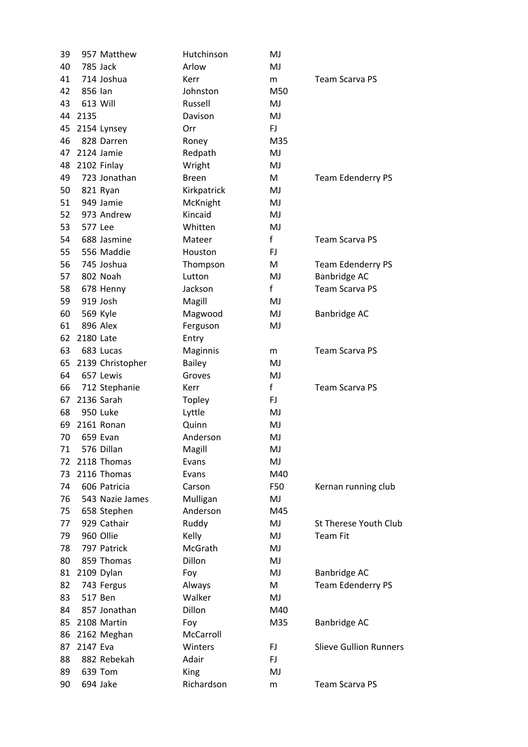| 39 |           | 957 Matthew      | Hutchinson    | MJ           |                               |
|----|-----------|------------------|---------------|--------------|-------------------------------|
| 40 |           | 785 Jack         | Arlow         | MJ           |                               |
| 41 |           | 714 Joshua       | Kerr          | m            | <b>Team Scarva PS</b>         |
| 42 | 856 lan   |                  | Johnston      | M50          |                               |
| 43 |           | 613 Will         | Russell       | MJ           |                               |
| 44 | 2135      |                  | Davison       | MJ           |                               |
| 45 |           | 2154 Lynsey      | Orr           | FJ.          |                               |
| 46 |           | 828 Darren       | Roney         | M35          |                               |
| 47 |           | 2124 Jamie       | Redpath       | MJ           |                               |
| 48 |           | 2102 Finlay      | Wright        | MJ           |                               |
| 49 |           | 723 Jonathan     | <b>Breen</b>  | M            | <b>Team Edenderry PS</b>      |
| 50 |           | 821 Ryan         | Kirkpatrick   | MJ           |                               |
| 51 |           | 949 Jamie        | McKnight      | MJ           |                               |
| 52 |           | 973 Andrew       | Kincaid       | MJ           |                               |
| 53 | 577 Lee   |                  | Whitten       | MJ           |                               |
| 54 |           | 688 Jasmine      | Mateer        | f            | <b>Team Scarva PS</b>         |
| 55 |           | 556 Maddie       | Houston       | FJ           |                               |
| 56 |           | 745 Joshua       | Thompson      | M            | <b>Team Edenderry PS</b>      |
| 57 |           | 802 Noah         | Lutton        | MJ           | Banbridge AC                  |
| 58 |           | 678 Henny        | Jackson       | f            | <b>Team Scarva PS</b>         |
| 59 |           | 919 Josh         | Magill        | MJ           |                               |
| 60 |           | 569 Kyle         | Magwood       | MJ           | Banbridge AC                  |
| 61 |           | 896 Alex         | Ferguson      | MJ           |                               |
| 62 | 2180 Late |                  | Entry         |              |                               |
| 63 |           | 683 Lucas        | Maginnis      | m            | <b>Team Scarva PS</b>         |
| 65 |           | 2139 Christopher | <b>Bailey</b> | MJ           |                               |
| 64 |           | 657 Lewis        | Groves        | MJ           |                               |
| 66 |           | 712 Stephanie    | Kerr          | $\mathsf{f}$ | <b>Team Scarva PS</b>         |
| 67 |           | 2136 Sarah       | Topley        | FJ.          |                               |
| 68 |           | 950 Luke         | Lyttle        | MJ           |                               |
| 69 |           | 2161 Ronan       | Quinn         | MJ           |                               |
| 70 |           | 659 Evan         | Anderson      | MJ           |                               |
| 71 |           | 576 Dillan       | Magill        | MJ           |                               |
| 72 |           | 2118 Thomas      | Evans         | MJ           |                               |
| 73 |           | 2116 Thomas      | Evans         | M40          |                               |
| 74 |           | 606 Patricia     | Carson        | F50          | Kernan running club           |
| 76 |           | 543 Nazie James  | Mulligan      | MJ           |                               |
| 75 |           | 658 Stephen      | Anderson      | M45          |                               |
| 77 |           | 929 Cathair      | Ruddy         | MJ           | St Therese Youth Club         |
| 79 |           | 960 Ollie        | Kelly         | MJ           | <b>Team Fit</b>               |
| 78 |           | 797 Patrick      | McGrath       | MJ           |                               |
| 80 |           | 859 Thomas       | Dillon        | MJ           |                               |
| 81 |           | 2109 Dylan       | Foy           | MJ           | Banbridge AC                  |
| 82 |           | 743 Fergus       | Always        | M            | <b>Team Edenderry PS</b>      |
| 83 |           | 517 Ben          | Walker        | MJ           |                               |
| 84 |           | 857 Jonathan     | Dillon        | M40          |                               |
| 85 |           | 2108 Martin      | Foy           | M35          | Banbridge AC                  |
| 86 |           | 2162 Meghan      | McCarroll     |              |                               |
| 87 | 2147 Eva  |                  | Winters       | FJ.          | <b>Slieve Gullion Runners</b> |
| 88 |           | 882 Rebekah      | Adair         | FJ.          |                               |
| 89 |           | 639 Tom          | King          | MJ           |                               |
| 90 |           | 694 Jake         | Richardson    | m            | <b>Team Scarva PS</b>         |
|    |           |                  |               |              |                               |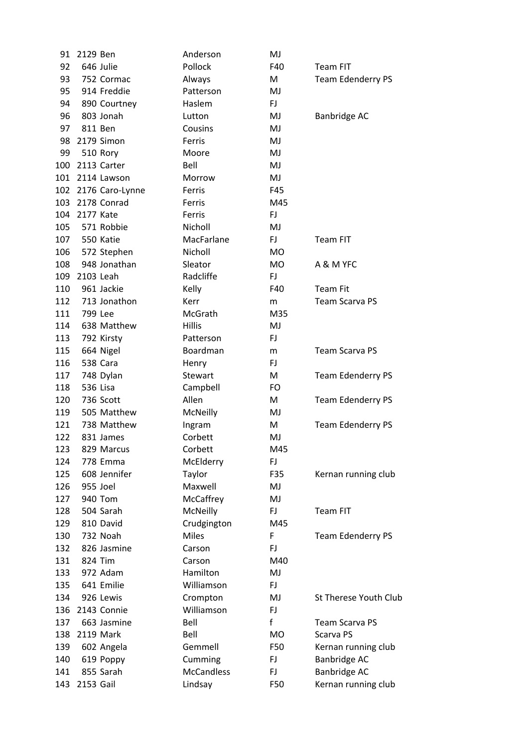| 91  | 2129 Ben  |                 | Anderson          | MJ        |                          |
|-----|-----------|-----------------|-------------------|-----------|--------------------------|
| 92  |           | 646 Julie       | Pollock           | F40       | <b>Team FIT</b>          |
| 93  |           | 752 Cormac      | Always            | M         | <b>Team Edenderry PS</b> |
| 95  |           | 914 Freddie     | Patterson         | MJ        |                          |
| 94  |           | 890 Courtney    | Haslem            | FJ        |                          |
| 96  |           | 803 Jonah       | Lutton            | MJ        | Banbridge AC             |
| 97  |           | 811 Ben         | Cousins           | MJ        |                          |
| 98  |           | 2179 Simon      | Ferris            | MJ        |                          |
| 99  |           | 510 Rory        | Moore             | MJ        |                          |
| 100 |           | 2113 Carter     | Bell              | MJ        |                          |
| 101 |           | 2114 Lawson     | Morrow            | MJ        |                          |
| 102 |           | 2176 Caro-Lynne | Ferris            | F45       |                          |
| 103 |           | 2178 Conrad     | Ferris            | M45       |                          |
| 104 | 2177 Kate |                 | Ferris            | FJ.       |                          |
| 105 |           | 571 Robbie      | Nicholl           | MJ        |                          |
| 107 |           | 550 Katie       | MacFarlane        | FJ        | Team FIT                 |
| 106 |           | 572 Stephen     | Nicholl           | <b>MO</b> |                          |
| 108 |           | 948 Jonathan    | Sleator           | <b>MO</b> | A & M YFC                |
| 109 | 2103 Leah |                 | Radcliffe         | FJ        |                          |
| 110 |           | 961 Jackie      | Kelly             | F40       | <b>Team Fit</b>          |
| 112 |           | 713 Jonathon    | Kerr              | m         | <b>Team Scarva PS</b>    |
| 111 | 799 Lee   |                 | McGrath           | M35       |                          |
| 114 |           | 638 Matthew     | <b>Hillis</b>     | MJ        |                          |
| 113 |           | 792 Kirsty      | Patterson         | FJ        |                          |
| 115 |           | 664 Nigel       | Boardman          | m         | <b>Team Scarva PS</b>    |
| 116 |           | 538 Cara        | Henry             | FJ.       |                          |
| 117 |           | 748 Dylan       | Stewart           | M         | <b>Team Edenderry PS</b> |
| 118 |           | 536 Lisa        | Campbell          | FO        |                          |
| 120 |           | 736 Scott       | Allen             | M         | <b>Team Edenderry PS</b> |
| 119 |           | 505 Matthew     | McNeilly          | MJ        |                          |
| 121 |           | 738 Matthew     | Ingram            | M         | <b>Team Edenderry PS</b> |
| 122 |           | 831 James       | Corbett           | MJ        |                          |
| 123 |           | 829 Marcus      | Corbett           | M45       |                          |
| 124 |           | 778 Emma        | McElderry         | FJ.       |                          |
| 125 |           | 608 Jennifer    | Taylor            | F35       | Kernan running club      |
| 126 |           | 955 Joel        | Maxwell           | MJ        |                          |
| 127 |           | 940 Tom         | McCaffrey         | MJ        |                          |
| 128 |           | 504 Sarah       | McNeilly          | FJ        | Team FIT                 |
| 129 |           | 810 David       | Crudgington       | M45       |                          |
| 130 |           | 732 Noah        | <b>Miles</b>      | F         | <b>Team Edenderry PS</b> |
| 132 |           | 826 Jasmine     | Carson            | <b>FJ</b> |                          |
| 131 |           | 824 Tim         | Carson            | M40       |                          |
| 133 |           | 972 Adam        | Hamilton          | MJ        |                          |
| 135 |           | 641 Emilie      | Williamson        | FJ        |                          |
| 134 |           | 926 Lewis       | Crompton          | MJ        | St Therese Youth Club    |
| 136 |           | 2143 Connie     | Williamson        | FJ        |                          |
| 137 |           | 663 Jasmine     | Bell              | f         | <b>Team Scarva PS</b>    |
| 138 |           | 2119 Mark       | Bell              | <b>MO</b> | Scarva PS                |
| 139 |           | 602 Angela      | Gemmell           | F50       | Kernan running club      |
| 140 |           | 619 Poppy       | Cumming           | <b>FJ</b> | <b>Banbridge AC</b>      |
| 141 |           | 855 Sarah       | <b>McCandless</b> | FJ        | Banbridge AC             |
| 143 | 2153 Gail |                 | Lindsay           | F50       | Kernan running club      |
|     |           |                 |                   |           |                          |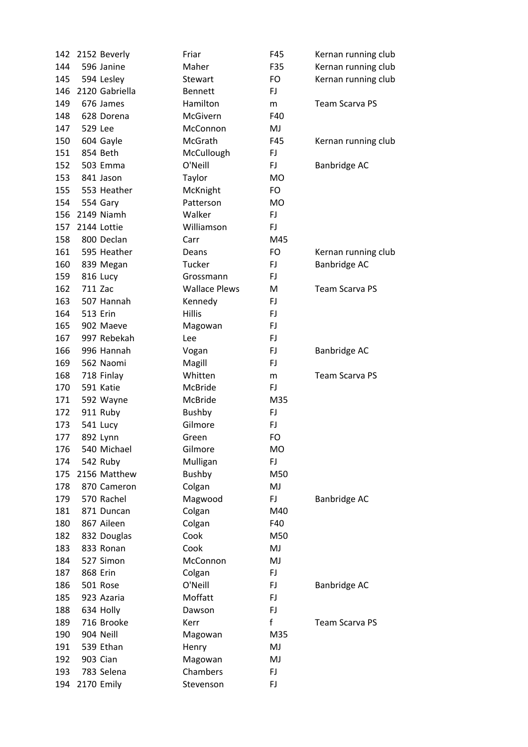| 142 | 2152 Beverly        | Friar                | F45       | Kernan running club   |
|-----|---------------------|----------------------|-----------|-----------------------|
| 144 | 596 Janine          | Maher                | F35       | Kernan running club   |
| 145 | 594 Lesley          | Stewart              | FO        | Kernan running club   |
| 146 | 2120 Gabriella      | <b>Bennett</b>       | FJ        |                       |
| 149 | 676 James           | Hamilton             | m         | <b>Team Scarva PS</b> |
| 148 | 628 Dorena          | McGivern             | F40       |                       |
| 147 | 529 Lee             | McConnon             | MJ        |                       |
| 150 | 604 Gayle           | McGrath              | F45       | Kernan running club   |
| 151 | 854 Beth            | McCullough           | FJ        |                       |
| 152 | 503 Emma            | O'Neill              | FJ        | Banbridge AC          |
| 153 | 841 Jason           | Taylor               | <b>MO</b> |                       |
| 155 | 553 Heather         | McKnight             | FO        |                       |
| 154 | 554 Gary            | Patterson            | <b>MO</b> |                       |
| 156 | 2149 Niamh          | Walker               | FJ        |                       |
| 157 | 2144 Lottie         | Williamson           | FJ        |                       |
| 158 | 800 Declan          | Carr                 | M45       |                       |
| 161 | 595 Heather         | Deans                | FO        | Kernan running club   |
| 160 | 839 Megan           | Tucker               | FJ        | Banbridge AC          |
| 159 |                     | Grossmann            | FJ        |                       |
|     | 816 Lucy<br>711 Zac | <b>Wallace Plews</b> | М         | <b>Team Scarva PS</b> |
| 162 |                     |                      |           |                       |
| 163 | 507 Hannah          | Kennedy              | FJ        |                       |
| 164 | <b>513 Erin</b>     | <b>Hillis</b>        | FJ        |                       |
| 165 | 902 Maeve           | Magowan              | FJ        |                       |
| 167 | 997 Rebekah         | Lee                  | FJ        |                       |
| 166 | 996 Hannah          | Vogan                | FJ        | Banbridge AC          |
| 169 | 562 Naomi           | Magill               | FJ        |                       |
| 168 | 718 Finlay          | Whitten              | m         | <b>Team Scarva PS</b> |
| 170 | 591 Katie           | McBride              | FJ        |                       |
| 171 | 592 Wayne           | McBride              | M35       |                       |
| 172 | 911 Ruby            | <b>Bushby</b>        | FJ        |                       |
| 173 | 541 Lucy            | Gilmore              | FJ        |                       |
| 177 | 892 Lynn            | Green                | FO        |                       |
| 176 | 540 Michael         | Gilmore              | <b>MO</b> |                       |
| 174 | 542 Ruby            | Mulligan             | FJ        |                       |
| 175 | 2156 Matthew        | <b>Bushby</b>        | M50       |                       |
| 178 | 870 Cameron         | Colgan               | MJ        |                       |
| 179 | 570 Rachel          | Magwood              | FJ        | Banbridge AC          |
| 181 | 871 Duncan          | Colgan               | M40       |                       |
| 180 | 867 Aileen          | Colgan               | F40       |                       |
| 182 | 832 Douglas         | Cook                 | M50       |                       |
| 183 | 833 Ronan           | Cook                 | MJ        |                       |
| 184 | 527 Simon           | McConnon             | MJ        |                       |
| 187 | 868 Erin            | Colgan               | FJ        |                       |
| 186 | 501 Rose            | O'Neill              | FJ        | Banbridge AC          |
| 185 | 923 Azaria          | Moffatt              | FJ        |                       |
| 188 | 634 Holly           | Dawson               | FJ        |                       |
| 189 | 716 Brooke          | Kerr                 | f         | <b>Team Scarva PS</b> |
| 190 | 904 Neill           | Magowan              | M35       |                       |
| 191 | 539 Ethan           | Henry                | MJ        |                       |
| 192 | 903 Cian            | Magowan              | MJ        |                       |
| 193 | 783 Selena          | Chambers             | FJ        |                       |
| 194 | 2170 Emily          | Stevenson            | FJ        |                       |
|     |                     |                      |           |                       |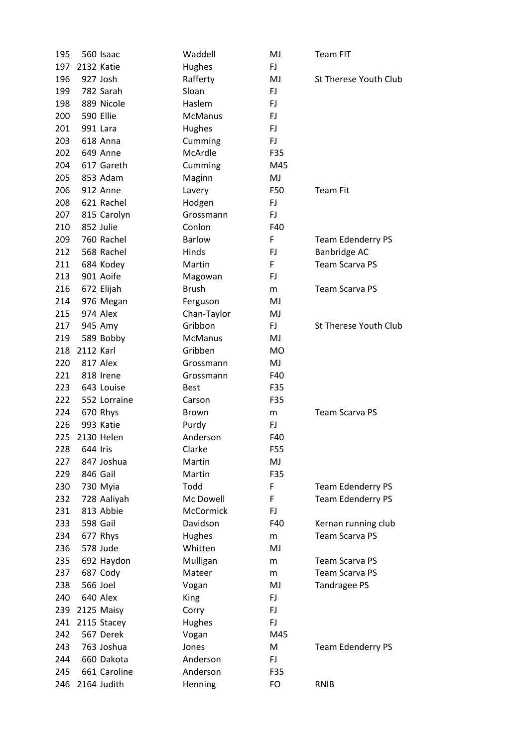| 195 |           | 560 Isaac    | Waddell        | MJ        | <b>Team FIT</b>          |
|-----|-----------|--------------|----------------|-----------|--------------------------|
| 197 |           | 2132 Katie   | Hughes         | FJ        |                          |
| 196 |           | 927 Josh     | Rafferty       | MJ        | St Therese Youth Club    |
| 199 |           | 782 Sarah    | Sloan          | FJ        |                          |
| 198 |           | 889 Nicole   | Haslem         | FJ        |                          |
| 200 |           | 590 Ellie    | <b>McManus</b> | <b>FJ</b> |                          |
| 201 |           | 991 Lara     | Hughes         | FJ        |                          |
| 203 |           | 618 Anna     | Cumming        | FJ        |                          |
| 202 |           | 649 Anne     | McArdle        | F35       |                          |
| 204 |           | 617 Gareth   | Cumming        | M45       |                          |
| 205 |           | 853 Adam     | Maginn         | MJ        |                          |
| 206 |           | 912 Anne     | Lavery         | F50       | <b>Team Fit</b>          |
| 208 |           | 621 Rachel   | Hodgen         | FJ        |                          |
| 207 |           | 815 Carolyn  | Grossmann      | FJ        |                          |
| 210 |           | 852 Julie    | Conlon         | F40       |                          |
| 209 |           | 760 Rachel   | <b>Barlow</b>  | F         | <b>Team Edenderry PS</b> |
| 212 |           | 568 Rachel   | Hinds          | FJ        | Banbridge AC             |
| 211 |           | 684 Kodey    | Martin         | F         | <b>Team Scarva PS</b>    |
| 213 |           | 901 Aoife    | Magowan        | FJ        |                          |
| 216 |           | 672 Elijah   | <b>Brush</b>   | m         | <b>Team Scarva PS</b>    |
| 214 |           | 976 Megan    | Ferguson       | MJ        |                          |
| 215 |           | 974 Alex     | Chan-Taylor    | MJ        |                          |
| 217 |           | 945 Amy      | Gribbon        | FJ.       | St Therese Youth Club    |
| 219 |           | 589 Bobby    | <b>McManus</b> | MJ        |                          |
| 218 | 2112 Karl |              | Gribben        | <b>MO</b> |                          |
| 220 |           | 817 Alex     | Grossmann      | MJ        |                          |
| 221 |           | 818 Irene    | Grossmann      | F40       |                          |
| 223 |           | 643 Louise   | <b>Best</b>    | F35       |                          |
| 222 |           | 552 Lorraine | Carson         | F35       |                          |
| 224 |           | 670 Rhys     | <b>Brown</b>   | m         | <b>Team Scarva PS</b>    |
| 226 |           | 993 Katie    | Purdy          | FJ        |                          |
| 225 |           | 2130 Helen   | Anderson       | F40       |                          |
| 228 | 644 Iris  |              | Clarke         | F55       |                          |
| 227 |           | 847 Joshua   | Martin         | MJ        |                          |
| 229 |           | 846 Gail     | Martin         | F35       |                          |
| 230 |           | 730 Myia     | Todd           | F         | <b>Team Edenderry PS</b> |
| 232 |           | 728 Aaliyah  | Mc Dowell      | F         | <b>Team Edenderry PS</b> |
| 231 |           | 813 Abbie    | McCormick      | FJ        |                          |
| 233 |           | 598 Gail     | Davidson       | F40       | Kernan running club      |
| 234 |           | 677 Rhys     | Hughes         |           | <b>Team Scarva PS</b>    |
| 236 |           | 578 Jude     | Whitten        | m<br>MJ   |                          |
| 235 |           | 692 Haydon   | Mulligan       |           | <b>Team Scarva PS</b>    |
| 237 |           | 687 Cody     | Mateer         | m         | <b>Team Scarva PS</b>    |
| 238 |           | 566 Joel     |                | m         |                          |
|     |           | 640 Alex     | Vogan          | MJ        | Tandragee PS             |
| 240 |           |              | King           | FJ        |                          |
| 239 |           | 2125 Maisy   | Corry          | FJ        |                          |
| 241 |           | 2115 Stacey  | Hughes         | FJ        |                          |
| 242 |           | 567 Derek    | Vogan          | M45       |                          |
| 243 |           | 763 Joshua   | Jones          | M         | <b>Team Edenderry PS</b> |
| 244 |           | 660 Dakota   | Anderson       | <b>FJ</b> |                          |
| 245 |           | 661 Caroline | Anderson       | F35       |                          |
| 246 |           | 2164 Judith  | Henning        | FO        | RNIB                     |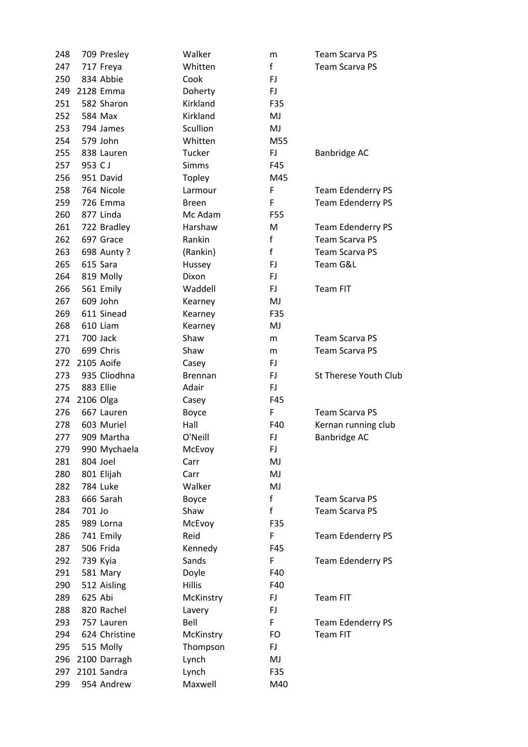| 248        |           | 709 Presley               | Walker           | m            | <b>Team Scarva PS</b>                       |
|------------|-----------|---------------------------|------------------|--------------|---------------------------------------------|
| 247        |           | 717 Freya                 | Whitten          | f            | <b>Team Scarva PS</b>                       |
| 250        |           | 834 Abbie                 | Cook             | FJ           |                                             |
| 249        |           | 2128 Emma                 | Doherty          | <b>FJ</b>    |                                             |
| 251        |           | 582 Sharon                | Kirkland         | F35          |                                             |
| 252        |           | 584 Max                   | Kirkland         | MJ           |                                             |
| 253        |           | 794 James                 | Scullion         | MJ           |                                             |
| 254        |           | 579 John                  | Whitten          | M55          |                                             |
| 255        |           | 838 Lauren                | Tucker           | <b>FJ</b>    | <b>Banbridge AC</b>                         |
| 257        | 953 CJ    |                           | <b>Simms</b>     | F45          |                                             |
| 256        |           | 951 David                 | Topley           | M45          |                                             |
| 258        |           | 764 Nicole                | Larmour          | F            | Team Edenderry PS                           |
| 259        |           | 726 Emma                  | <b>Breen</b>     | F            | <b>Team Edenderry PS</b>                    |
| 260        |           | 877 Linda                 | Mc Adam          | F55          |                                             |
| 261        |           | 722 Bradley               | Harshaw          | M            | <b>Team Edenderry PS</b>                    |
| 262        |           | 697 Grace                 | Rankin           | $\mathsf f$  | <b>Team Scarva PS</b>                       |
| 263        |           | 698 Aunty ?               | (Rankin)         | $\mathsf{f}$ | <b>Team Scarva PS</b>                       |
| 265        |           | 615 Sara                  | Hussey           | <b>FJ</b>    | Team G&L                                    |
| 264        |           | 819 Molly                 | Dixon            | <b>FJ</b>    |                                             |
| 266        |           | 561 Emily                 | Waddell          | FJ.          | <b>Team FIT</b>                             |
| 267        |           | 609 John                  | Kearney          | MJ           |                                             |
| 269        |           | 611 Sinead                | Kearney          | F35          |                                             |
| 268        |           | 610 Liam                  | Kearney          | MJ           |                                             |
| 271        |           | 700 Jack                  | Shaw             | m            | <b>Team Scarva PS</b>                       |
| 270        |           | 699 Chris                 | Shaw             | m            | <b>Team Scarva PS</b>                       |
| 272        |           | 2105 Aoife                | Casey            | <b>FJ</b>    |                                             |
| 273        |           | 935 Cliodhna              | <b>Brennan</b>   | FJ           | St Therese Youth Club                       |
| 275        |           | 883 Ellie                 | Adair            | <b>FJ</b>    |                                             |
| 274        | 2106 Olga |                           | Casey            | F45          |                                             |
| 276        |           | 667 Lauren                | Boyce            | F            | <b>Team Scarva PS</b>                       |
| 278        |           | 603 Muriel                | Hall             | F40          | Kernan running club                         |
| 277        |           | 909 Martha                | O'Neill          | FJ           | Banbridge AC                                |
| 279        |           | 990 Mychaela              | McEvoy           | FJ           |                                             |
| 281        |           | 804 Joel                  | Carr             | MJ           |                                             |
| 280        |           | 801 Elijah                | Carr             | MJ           |                                             |
| 282        |           | 784 Luke                  | Walker           | MJ           |                                             |
| 283        |           | 666 Sarah                 | Boyce            | $\mathsf{f}$ | <b>Team Scarva PS</b>                       |
| 284        | 701 Jo    |                           | Shaw             | f            | <b>Team Scarva PS</b>                       |
| 285        |           | 989 Lorna                 | McEvoy           | F35          |                                             |
| 286        |           | 741 Emily                 | Reid             | F            | <b>Team Edenderry PS</b>                    |
| 287        |           | 506 Frida                 | Kennedy          | F45          |                                             |
| 292        |           | 739 Kyia                  | Sands            | F            | Team Edenderry PS                           |
| 291        |           | 581 Mary                  | Doyle            | F40          |                                             |
| 290        |           | 512 Aisling               | <b>Hillis</b>    | F40          |                                             |
| 289        | 625 Abi   |                           |                  | FJ           | <b>Team FIT</b>                             |
| 288        |           | 820 Rachel                | McKinstry        | FJ           |                                             |
|            |           |                           | Lavery           | F            |                                             |
| 293        |           | 757 Lauren                | Bell             |              | <b>Team Edenderry PS</b><br><b>Team FIT</b> |
| 294        |           | 624 Christine             | McKinstry        | FO           |                                             |
| 295        |           | 515 Molly                 | Thompson         | FJ.          |                                             |
| 296<br>297 |           | 2100 Darragh              | Lynch            | MJ           |                                             |
|            |           |                           |                  |              |                                             |
| 299        |           | 2101 Sandra<br>954 Andrew | Lynch<br>Maxwell | F35<br>M40   |                                             |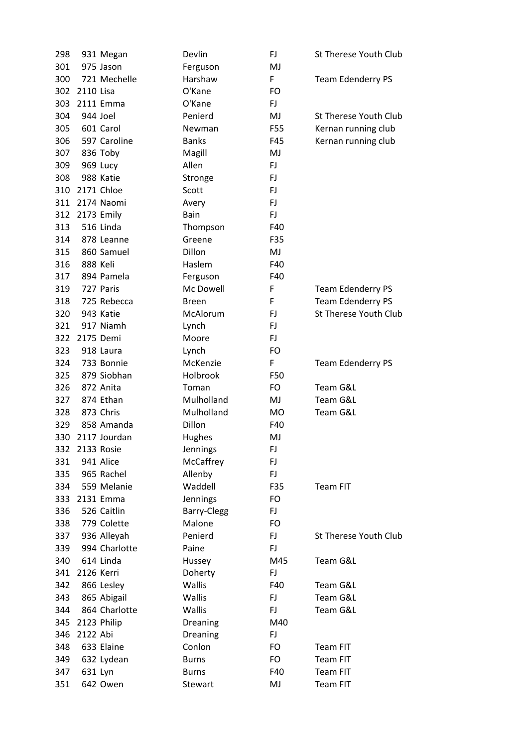| 298 |            | 931 Megan     | Devlin        | FJ        | <b>St Therese Youth Club</b> |
|-----|------------|---------------|---------------|-----------|------------------------------|
| 301 |            | 975 Jason     | Ferguson      | MJ        |                              |
| 300 |            | 721 Mechelle  | Harshaw       | F         | <b>Team Edenderry PS</b>     |
| 302 | 2110 Lisa  |               | O'Kane        | FO        |                              |
| 303 |            | 2111 Emma     | O'Kane        | FJ        |                              |
| 304 |            | 944 Joel      | Penierd       | MJ        | <b>St Therese Youth Club</b> |
| 305 |            | 601 Carol     | <b>Newman</b> | F55       | Kernan running club          |
| 306 |            | 597 Caroline  | <b>Banks</b>  | F45       | Kernan running club          |
| 307 |            | 836 Toby      | Magill        | MJ        |                              |
| 309 |            | 969 Lucy      | Allen         | FJ        |                              |
| 308 |            | 988 Katie     | Stronge       | FJ        |                              |
| 310 |            | 2171 Chloe    | Scott         | FJ        |                              |
| 311 |            | 2174 Naomi    | Avery         | FJ        |                              |
| 312 |            | 2173 Emily    | Bain          | FJ        |                              |
| 313 |            | 516 Linda     | Thompson      | F40       |                              |
| 314 |            | 878 Leanne    | Greene        | F35       |                              |
| 315 |            | 860 Samuel    | Dillon        | MJ        |                              |
| 316 | 888 Keli   |               | Haslem        | F40       |                              |
| 317 |            | 894 Pamela    | Ferguson      | F40       |                              |
| 319 |            | 727 Paris     | Mc Dowell     | F         | <b>Team Edenderry PS</b>     |
| 318 |            | 725 Rebecca   | <b>Breen</b>  | F         | <b>Team Edenderry PS</b>     |
| 320 |            | 943 Katie     | McAlorum      | FJ        | St Therese Youth Club        |
| 321 |            | 917 Niamh     | Lynch         | FJ        |                              |
| 322 |            | 2175 Demi     | Moore         | <b>FJ</b> |                              |
| 323 |            | 918 Laura     | Lynch         | FO        |                              |
| 324 |            | 733 Bonnie    | McKenzie      | F         | <b>Team Edenderry PS</b>     |
| 325 |            | 879 Siobhan   | Holbrook      | F50       |                              |
| 326 |            | 872 Anita     | Toman         | FO        | Team G&L                     |
| 327 |            | 874 Ethan     | Mulholland    | MJ        | Team G&L                     |
| 328 |            | 873 Chris     | Mulholland    | <b>MO</b> | Team G&L                     |
| 329 |            | 858 Amanda    | Dillon        | F40       |                              |
| 330 |            | 2117 Jourdan  | Hughes        | MJ        |                              |
| 332 | 2133 Rosie |               | Jennings      | FJ        |                              |
| 331 |            | 941 Alice     | McCaffrey     | <b>FJ</b> |                              |
| 335 |            | 965 Rachel    | Allenby       | <b>FJ</b> |                              |
| 334 |            | 559 Melanie   | Waddell       | F35       | Team FIT                     |
| 333 |            | 2131 Emma     | Jennings      | FO        |                              |
| 336 |            | 526 Caitlin   | Barry-Clegg   | FJ        |                              |
| 338 |            | 779 Colette   | Malone        | FO        |                              |
| 337 |            | 936 Alleyah   | Penierd       | FJ        | St Therese Youth Club        |
| 339 |            | 994 Charlotte | Paine         | <b>FJ</b> |                              |
| 340 |            | 614 Linda     | Hussey        | M45       | Team G&L                     |
| 341 | 2126 Kerri |               | Doherty       | FJ        |                              |
| 342 |            | 866 Lesley    | Wallis        | F40       | Team G&L                     |
| 343 |            | 865 Abigail   | Wallis        | FJ.       | Team G&L                     |
| 344 |            | 864 Charlotte | Wallis        | <b>FJ</b> | Team G&L                     |
| 345 |            | 2123 Philip   | Dreaning      | M40       |                              |
| 346 | 2122 Abi   |               | Dreaning      | FJ        |                              |
| 348 |            | 633 Elaine    | Conlon        | FO        | Team FIT                     |
| 349 |            | 632 Lydean    | <b>Burns</b>  | FO        | Team FIT                     |
| 347 | 631 Lyn    |               | <b>Burns</b>  | F40       | <b>Team FIT</b>              |
| 351 |            | 642 Owen      | Stewart       | MJ        | Team FIT                     |
|     |            |               |               |           |                              |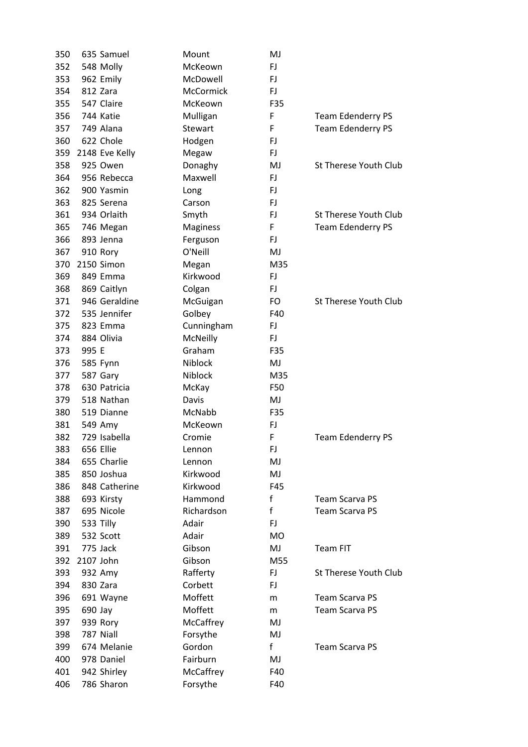| 350 |           | 635 Samuel     | Mount      | MJ          |                          |
|-----|-----------|----------------|------------|-------------|--------------------------|
| 352 |           | 548 Molly      | McKeown    | FJ.         |                          |
| 353 |           | 962 Emily      | McDowell   | FJ          |                          |
| 354 |           | 812 Zara       | McCormick  | <b>FJ</b>   |                          |
| 355 |           | 547 Claire     | McKeown    | F35         |                          |
| 356 |           | 744 Katie      | Mulligan   | F           | <b>Team Edenderry PS</b> |
| 357 |           | 749 Alana      | Stewart    | F           | Team Edenderry PS        |
| 360 |           | 622 Chole      | Hodgen     | FJ          |                          |
| 359 |           | 2148 Eve Kelly | Megaw      | FJ.         |                          |
| 358 |           | 925 Owen       | Donaghy    | MJ          | St Therese Youth Club    |
| 364 |           | 956 Rebecca    | Maxwell    | FJ.         |                          |
| 362 |           | 900 Yasmin     | Long       | FJ          |                          |
| 363 |           | 825 Serena     | Carson     | FJ          |                          |
| 361 |           | 934 Orlaith    | Smyth      | FJ.         | St Therese Youth Club    |
| 365 |           | 746 Megan      | Maginess   | F           | <b>Team Edenderry PS</b> |
| 366 |           | 893 Jenna      | Ferguson   | FJ.         |                          |
| 367 |           | 910 Rory       | O'Neill    | MJ          |                          |
| 370 |           | 2150 Simon     | Megan      | M35         |                          |
| 369 |           | 849 Emma       | Kirkwood   | FJ.         |                          |
| 368 |           | 869 Caitlyn    | Colgan     | FJ.         |                          |
| 371 |           | 946 Geraldine  | McGuigan   | FO          | St Therese Youth Club    |
| 372 |           | 535 Jennifer   | Golbey     | F40         |                          |
| 375 |           | 823 Emma       | Cunningham | FJ.         |                          |
| 374 |           | 884 Olivia     | McNeilly   | FJ.         |                          |
| 373 | 995 E     |                | Graham     | F35         |                          |
| 376 |           | 585 Fynn       | Niblock    | MJ          |                          |
| 377 |           | 587 Gary       | Niblock    | M35         |                          |
| 378 |           | 630 Patricia   | McKay      | F50         |                          |
| 379 |           | 518 Nathan     | Davis      | MJ          |                          |
| 380 |           | 519 Dianne     | McNabb     | F35         |                          |
| 381 |           | 549 Amy        | McKeown    | FJ          |                          |
| 382 |           | 729 Isabella   | Cromie     | F           | <b>Team Edenderry PS</b> |
| 383 |           | 656 Ellie      | Lennon     | FJ          |                          |
| 384 |           | 655 Charlie    | Lennon     | MJ          |                          |
| 385 |           | 850 Joshua     | Kirkwood   | MJ          |                          |
| 386 |           | 848 Catherine  | Kirkwood   | F45         |                          |
| 388 |           | 693 Kirsty     | Hammond    | $\mathsf f$ | <b>Team Scarva PS</b>    |
| 387 |           | 695 Nicole     | Richardson | f           | <b>Team Scarva PS</b>    |
| 390 |           | 533 Tilly      | Adair      | FJ          |                          |
| 389 |           | 532 Scott      | Adair      | MO          |                          |
| 391 |           | 775 Jack       | Gibson     | MJ          | <b>Team FIT</b>          |
| 392 | 2107 John |                | Gibson     | M55         |                          |
| 393 |           | 932 Amy        | Rafferty   | FJ.         | St Therese Youth Club    |
| 394 |           | 830 Zara       | Corbett    | FJ          |                          |
| 396 |           | 691 Wayne      | Moffett    | m           | <b>Team Scarva PS</b>    |
| 395 | 690 Jay   |                | Moffett    | m           | <b>Team Scarva PS</b>    |
| 397 |           | 939 Rory       | McCaffrey  | MJ          |                          |
| 398 |           | 787 Niall      | Forsythe   | MJ          |                          |
| 399 |           | 674 Melanie    | Gordon     | f           | <b>Team Scarva PS</b>    |
| 400 |           | 978 Daniel     | Fairburn   | MJ          |                          |
| 401 |           | 942 Shirley    | McCaffrey  | F40         |                          |
| 406 |           | 786 Sharon     | Forsythe   | F40         |                          |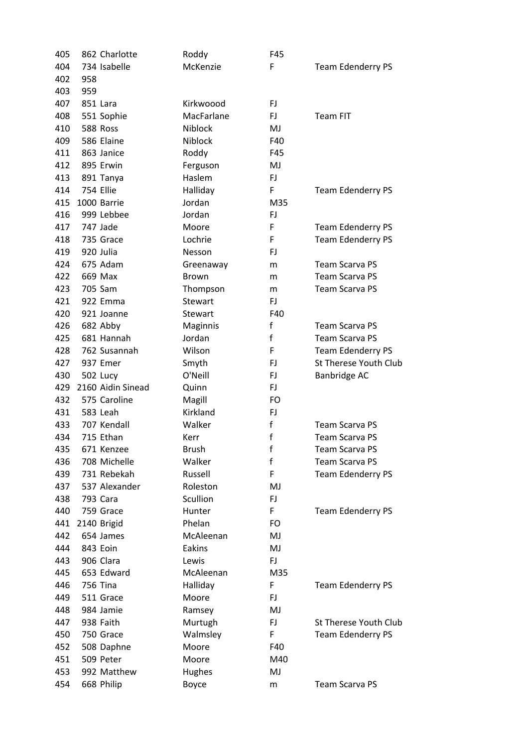| 405 |     | 862 Charlotte     | Roddy          | F45       |                          |
|-----|-----|-------------------|----------------|-----------|--------------------------|
| 404 |     | 734 Isabelle      | McKenzie       | F         | <b>Team Edenderry PS</b> |
| 402 | 958 |                   |                |           |                          |
| 403 | 959 |                   |                |           |                          |
| 407 |     | 851 Lara          | Kirkwoood      | FJ        |                          |
| 408 |     | 551 Sophie        | MacFarlane     | FJ        | <b>Team FIT</b>          |
| 410 |     | 588 Ross          | <b>Niblock</b> | MJ        |                          |
| 409 |     | 586 Elaine        | Niblock        | F40       |                          |
| 411 |     | 863 Janice        | Roddy          | F45       |                          |
| 412 |     | 895 Erwin         | Ferguson       | MJ        |                          |
| 413 |     | 891 Tanya         | Haslem         | FJ        |                          |
| 414 |     | 754 Ellie         | Halliday       | F         | <b>Team Edenderry PS</b> |
| 415 |     | 1000 Barrie       | Jordan         | M35       |                          |
| 416 |     | 999 Lebbee        | Jordan         | FJ        |                          |
| 417 |     | 747 Jade          | Moore          | F         | <b>Team Edenderry PS</b> |
| 418 |     | 735 Grace         | Lochrie        | F         | <b>Team Edenderry PS</b> |
| 419 |     | 920 Julia         | Nesson         | FJ        |                          |
| 424 |     | 675 Adam          | Greenaway      | m         | <b>Team Scarva PS</b>    |
| 422 |     | 669 Max           | Brown          | m         | <b>Team Scarva PS</b>    |
| 423 |     | 705 Sam           | Thompson       | m         | <b>Team Scarva PS</b>    |
| 421 |     | 922 Emma          | <b>Stewart</b> | FJ        |                          |
| 420 |     | 921 Joanne        | Stewart        | F40       |                          |
| 426 |     | 682 Abby          | Maginnis       | f         | <b>Team Scarva PS</b>    |
| 425 |     | 681 Hannah        | Jordan         | f         | <b>Team Scarva PS</b>    |
| 428 |     | 762 Susannah      | Wilson         | F         | <b>Team Edenderry PS</b> |
| 427 |     | 937 Emer          | Smyth          | FJ        | St Therese Youth Club    |
| 430 |     | 502 Lucy          | O'Neill        | FJ        | Banbridge AC             |
| 429 |     | 2160 Aidin Sinead | Quinn          | <b>FJ</b> |                          |
| 432 |     | 575 Caroline      | Magill         | <b>FO</b> |                          |
| 431 |     | 583 Leah          | Kirkland       | FJ        |                          |
| 433 |     | 707 Kendall       | Walker         | f         | <b>Team Scarva PS</b>    |
| 434 |     | 715 Ethan         | Kerr           | f         | <b>Team Scarva PS</b>    |
| 435 |     | 671 Kenzee        | <b>Brush</b>   | f         | Team Scarva PS           |
| 436 |     | 708 Michelle      | Walker         | f         | <b>Team Scarva PS</b>    |
| 439 |     | 731 Rebekah       | Russell        | F         | <b>Team Edenderry PS</b> |
| 437 |     | 537 Alexander     | Roleston       | MJ        |                          |
| 438 |     | 793 Cara          | Scullion       | FJ        |                          |
| 440 |     | 759 Grace         | Hunter         | F         | <b>Team Edenderry PS</b> |
| 441 |     | 2140 Brigid       | Phelan         | FO        |                          |
| 442 |     | 654 James         | McAleenan      | MJ        |                          |
| 444 |     | 843 Eoin          | Eakins         | MJ        |                          |
| 443 |     | 906 Clara         | Lewis          | FJ        |                          |
| 445 |     | 653 Edward        | McAleenan      | M35       |                          |
| 446 |     | <b>756 Tina</b>   | Halliday       | F         | <b>Team Edenderry PS</b> |
| 449 |     | 511 Grace         | Moore          | FJ        |                          |
| 448 |     | 984 Jamie         | Ramsey         | MJ        |                          |
| 447 |     | 938 Faith         | Murtugh        | <b>FJ</b> | St Therese Youth Club    |
| 450 |     | 750 Grace         | Walmsley       | F         | <b>Team Edenderry PS</b> |
| 452 |     | 508 Daphne        | Moore          | F40       |                          |
| 451 |     | 509 Peter         | Moore          | M40       |                          |
| 453 |     | 992 Matthew       | Hughes         | MJ        |                          |
| 454 |     | 668 Philip        | Boyce          | m         | <b>Team Scarva PS</b>    |
|     |     |                   |                |           |                          |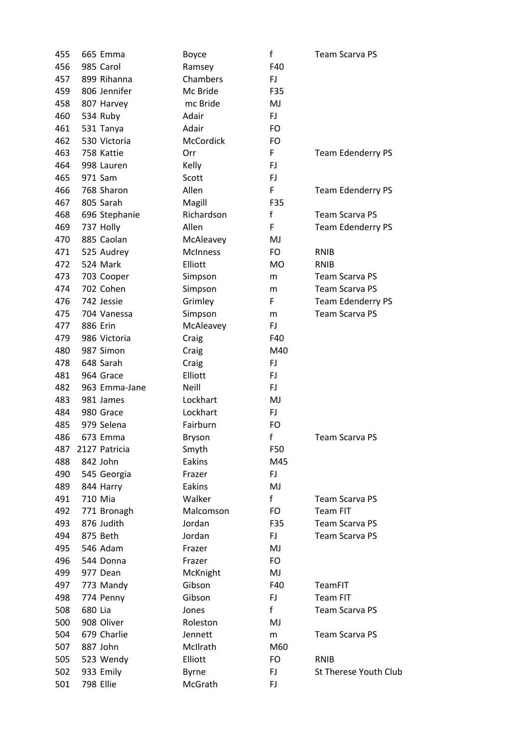| 455 | 665 Emma      | Boyce              | f         | <b>Team Scarva PS</b>    |
|-----|---------------|--------------------|-----------|--------------------------|
| 456 | 985 Carol     | Ramsey             | F40       |                          |
| 457 | 899 Rihanna   | Chambers           | FJ.       |                          |
| 459 | 806 Jennifer  | Mc Bride           | F35       |                          |
| 458 | 807 Harvey    | mc Bride           | MJ        |                          |
| 460 | 534 Ruby      | Adair              | FJ        |                          |
| 461 | 531 Tanya     | Adair              | FO        |                          |
| 462 | 530 Victoria  | McCordick          | FO        |                          |
| 463 | 758 Kattie    | Orr                | F         | <b>Team Edenderry PS</b> |
| 464 | 998 Lauren    | Kelly              | FJ.       |                          |
| 465 | 971 Sam       | Scott              | FJ.       |                          |
| 466 | 768 Sharon    | Allen              | F         | <b>Team Edenderry PS</b> |
| 467 | 805 Sarah     | Magill             | F35       |                          |
| 468 | 696 Stephanie | Richardson         | f         | <b>Team Scarva PS</b>    |
| 469 | 737 Holly     | Allen              | F         | <b>Team Edenderry PS</b> |
| 470 | 885 Caolan    | McAleavey          | MJ        |                          |
| 471 | 525 Audrey    | <b>McInness</b>    | FO        | <b>RNIB</b>              |
| 472 | 524 Mark      | Elliott            | <b>MO</b> | <b>RNIB</b>              |
| 473 | 703 Cooper    | Simpson            | m         | <b>Team Scarva PS</b>    |
| 474 | 702 Cohen     | Simpson            | m         | <b>Team Scarva PS</b>    |
| 476 | 742 Jessie    | Grimley            | F         | Team Edenderry PS        |
| 475 | 704 Vanessa   | Simpson            | m         | <b>Team Scarva PS</b>    |
| 477 | 886 Erin      | McAleavey          | FJ.       |                          |
| 479 | 986 Victoria  | Craig              | F40       |                          |
| 480 | 987 Simon     | Craig              | M40       |                          |
| 478 | 648 Sarah     | Craig              | FJ        |                          |
| 481 | 964 Grace     | Elliott            | FJ.       |                          |
| 482 | 963 Emma-Jane | Neill              | FJ.       |                          |
| 483 | 981 James     | Lockhart           | MJ        |                          |
| 484 | 980 Grace     | Lockhart           | FJ.       |                          |
| 485 | 979 Selena    | Fairburn           | FO        |                          |
| 486 | 673 Emma      | Bryson             | f         | <b>Team Scarva PS</b>    |
| 487 | 2127 Patricia | Smyth              | F50       |                          |
| 488 | 842 John      | Eakins             | M45       |                          |
| 490 | 545 Georgia   | Frazer             | FJ.       |                          |
| 489 | 844 Harry     | Eakins             | MJ        |                          |
| 491 | 710 Mia       | Walker             | f         | <b>Team Scarva PS</b>    |
| 492 | 771 Bronagh   | Malcomson          | FO.       | <b>Team FIT</b>          |
| 493 | 876 Judith    | Jordan             | F35       | <b>Team Scarva PS</b>    |
| 494 | 875 Beth      | Jordan             | FJ.       | Team Scarva PS           |
| 495 | 546 Adam      | Frazer             | MJ        |                          |
| 496 | 544 Donna     | Frazer             | FO        |                          |
| 499 | 977 Dean      |                    | MJ        |                          |
|     |               | McKnight<br>Gibson | F40       | TeamFIT                  |
| 497 | 773 Mandy     |                    |           |                          |
| 498 | 774 Penny     | Gibson             | FJ.<br>f  | <b>Team FIT</b>          |
| 508 | 680 Lia       | Jones              |           | <b>Team Scarva PS</b>    |
| 500 | 908 Oliver    | Roleston           | MJ        |                          |
| 504 | 679 Charlie   | Jennett            | m         | <b>Team Scarva PS</b>    |
| 507 | 887 John      | McIlrath           | M60       |                          |
| 505 | 523 Wendy     | Elliott            | FO        | RNIB                     |
| 502 | 933 Emily     | <b>Byrne</b>       | FJ.       | St Therese Youth Club    |
| 501 | 798 Ellie     | McGrath            | FJ        |                          |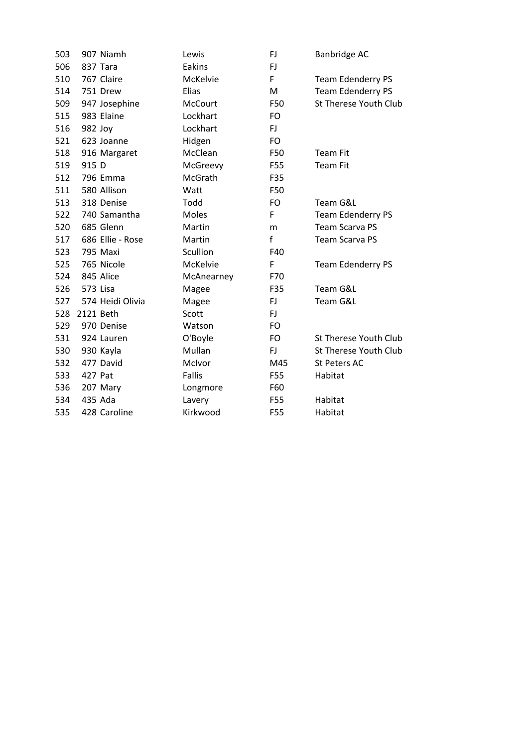| 503 |           | 907 Niamh        | Lewis          | FJ           | Banbridge AC                 |
|-----|-----------|------------------|----------------|--------------|------------------------------|
| 506 |           | 837 Tara         | Eakins         | FJ           |                              |
| 510 |           | 767 Claire       | McKelvie       | F            | <b>Team Edenderry PS</b>     |
| 514 |           | 751 Drew         | Elias          | M            | Team Edenderry PS            |
| 509 |           | 947 Josephine    | <b>McCourt</b> | F50          | St Therese Youth Club        |
| 515 |           | 983 Elaine       | Lockhart       | FO           |                              |
| 516 | 982 Joy   |                  | Lockhart       | FJ           |                              |
| 521 |           | 623 Joanne       | Hidgen         | <b>FO</b>    |                              |
| 518 |           | 916 Margaret     | McClean        | F50          | <b>Team Fit</b>              |
| 519 | 915 D     |                  | McGreevy       | F55          | <b>Team Fit</b>              |
| 512 |           | 796 Emma         | McGrath        | F35          |                              |
| 511 |           | 580 Allison      | Watt           | F50          |                              |
| 513 |           | 318 Denise       | Todd           | <b>FO</b>    | Team G&L                     |
| 522 |           | 740 Samantha     | Moles          | F            | Team Edenderry PS            |
| 520 |           | 685 Glenn        | Martin         | m            | <b>Team Scarva PS</b>        |
| 517 |           | 686 Ellie - Rose | Martin         | $\mathsf{f}$ | <b>Team Scarva PS</b>        |
| 523 |           | 795 Maxi         | Scullion       | F40          |                              |
| 525 |           | 765 Nicole       | McKelvie       | F            | <b>Team Edenderry PS</b>     |
| 524 |           | 845 Alice        | McAnearney     | F70          |                              |
| 526 | 573 Lisa  |                  | Magee          | F35          | Team G&L                     |
| 527 |           | 574 Heidi Olivia | Magee          | FJ           | Team G&L                     |
| 528 | 2121 Beth |                  | Scott          | <b>FJ</b>    |                              |
| 529 |           | 970 Denise       | Watson         | <b>FO</b>    |                              |
| 531 |           | 924 Lauren       | O'Boyle        | <b>FO</b>    | <b>St Therese Youth Club</b> |
| 530 |           | 930 Kayla        | Mullan         | FJ           | St Therese Youth Club        |
| 532 |           | 477 David        | McIvor         | M45          | St Peters AC                 |
| 533 | 427 Pat   |                  | Fallis         | F55          | Habitat                      |
| 536 |           | 207 Mary         | Longmore       | F60          |                              |
| 534 |           | 435 Ada          | Lavery         | F55          | Habitat                      |
| 535 |           | 428 Caroline     | Kirkwood       | <b>F55</b>   | Habitat                      |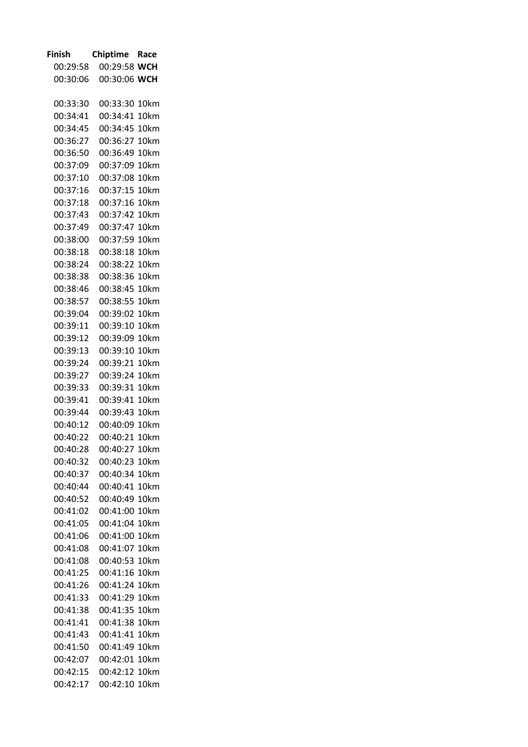| <b>Finish</b>        | <b>Chiptime</b> | Race         |
|----------------------|-----------------|--------------|
| 00:29:58             | 00:29:58 WCH    |              |
| 00:30:06             | 00:30:06        | <b>WCH</b>   |
|                      |                 |              |
| 00:33:30             | 00:33:30        | 10km         |
| 00:34:41             | 00:34:41        | 10km         |
| 00:34:45             | 00:34:45        | 10km         |
| 00:36:27             | 00:36:27        | 10km         |
| 00:36:50             | 00:36:49        | 10km         |
| 00:37:09             | 00:37:09        | 10km         |
| 00:37:10             | 00:37:08        | 10km         |
| 00:37:16             | 00:37:15        | 10km         |
| 00:37:18             | 00:37:16        | 10km         |
| 00:37:43             | 00:37:42        | 10km         |
| 00:37:49             | 00:37:47        | 10km         |
| 00:38:00             | 00:37:59        | 10km         |
| 00:38:18             | 00:38:18        | 10km         |
| 00:38:24             | 00:38:22        | 10km         |
| 00:38:38             | 00:38:36        | 10km         |
| 00:38:46             | 00:38:45        | 10km         |
| 00:38:57             | 00:38:55        | 10km         |
| 00:39:04             | 00:39:02        | 10km         |
| 00:39:11             | 00:39:10        | 10km         |
| 00:39:12             | 00:39:09        | 10km         |
| 00:39:13             | 00:39:10        | 10km         |
| 00:39:24             | 00:39:21        | 10km         |
| 00:39:27             | 00:39:24        | 10km         |
| 00:39:33             | 00:39:31        | 10km         |
| 00:39:41             | 00:39:41        | 10km         |
| 00:39:44             | 00:39:43        | 10km         |
| 00:40:12             | 00:40:09        | 10km         |
| 00:40:22             | 00:40:21        | 10km         |
| 00:40:28             | 00:40:27        | 10km         |
| 00:40:32             | 00:40:23        | 10km         |
| 00:40:37             | 00:40:34 10km   |              |
| 00:40:44             | 00:40:41 10km   |              |
| 00:40:52             | 00:40:49        | 10km         |
| 00:41:02             | 00:41:00        | 10km         |
|                      | 00:41:04        |              |
| 00:41:05<br>00:41:06 | 00:41:00        | 10km<br>10km |
|                      |                 |              |
| 00:41:08             | 00:41:07        | 10km         |
| 00:41:08             | 00:40:53        | 10km         |
| 00:41:25             | 00:41:16        | 10km         |
| 00:41:26             | 00:41:24        | 10km         |
| 00:41:33             | 00:41:29        | 10km         |
| 00:41:38             | 00:41:35        | 10km         |
| 00:41:41             | 00:41:38        | 10km         |
| 00:41:43             | 00:41:41        | 10km         |
| 00:41:50             | 00:41:49        | 10km         |
| 00:42:07             | 00:42:01        | 10km         |
| 00:42:15             | 00:42:12        | 10km         |
| 00:42:17             | 00:42:10 10km   |              |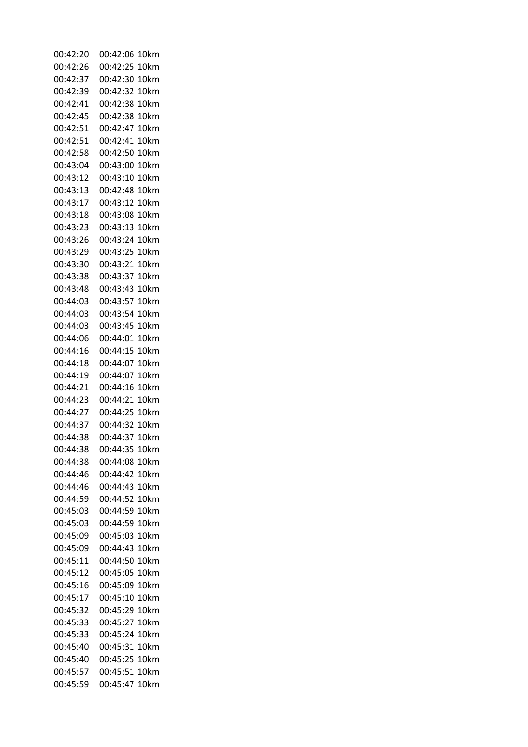| 00:42:20 | 00:42:06<br>10km     |
|----------|----------------------|
| 00:42:26 | 00:42:25<br>10km     |
| 00:42:37 | 00:42:30<br>10km     |
| 00:42:39 | 00:42:32<br>10km     |
| 00:42:41 | 00:42:38<br>10km     |
| 00:42:45 | 00:42:38<br>10km     |
| 00:42:51 | 00:42:47<br>10km     |
| 00:42:51 | 00:42:41<br>10km     |
| 00:42:58 | 00:42:50<br>10km     |
| 00:43:04 | 00:43:00<br>10km     |
| 00:43:12 | 00:43:10<br>10km     |
| 00:43:13 | 00:42:48<br>10km     |
| 00:43:17 | 00:43:12<br>10km     |
| 00:43:18 | 00:43:08<br>10km     |
| 00:43:23 | 00:43:13<br>10km     |
| 00:43:26 | 00:43:24<br>10km     |
| 00:43:29 | 00:43:25<br>10km     |
| 00:43:30 | 00:43:21<br>10km     |
| 00:43:38 | 00:43:37<br>10km     |
| 00:43:48 | 00:43:43<br>10km     |
| 00:44:03 | 00:43:57<br>10km     |
| 00:44:03 | 00:43:54<br>10km     |
| 00:44:03 | 00:43:45<br>10km     |
| 00:44:06 | 00:44:01<br>10km     |
| 00:44:16 | 00:44:15<br>10km     |
| 00:44:18 | 00:44:07<br>10km     |
| 00:44:19 | 00:44:07<br>10km     |
| 00:44:21 | 00:44:16<br>10km     |
| 00:44:23 | 00:44:21<br>10km     |
| 00:44:27 | 00:44:25<br>10km     |
| 00:44:37 | 00:44:32<br>10km     |
| 00:44:38 | 00:44:37<br>10km     |
| 00:44:38 | 10km                 |
|          | 00:44:35<br>00:44:08 |
| 00:44:38 | 10km                 |
| 00:44:46 | 00:44:42<br>10km     |
| 00:44:46 | 10km<br>00:44:43     |
| 00:44:59 | 00:44:52<br>10km     |
| 00:45:03 | 10km<br>00:44:59     |
| 00:45:03 | 00:44:59<br>10km     |
| 00:45:09 | 00:45:03<br>10km     |
| 00:45:09 | 00:44:43<br>10km     |
| 00:45:11 | 00:44:50<br>10km     |
| 00:45:12 | 00:45:05<br>10km     |
| 00:45:16 | 00:45:09<br>10km     |
| 00:45:17 | 00:45:10<br>10km     |
| 00:45:32 | 00:45:29<br>10km     |
| 00:45:33 | 00:45:27<br>10km     |
| 00:45:33 | 00:45:24 10km        |
| 00:45:40 | 00:45:31 10km        |
| 00:45:40 | 00:45:25<br>10km     |
| 00:45:57 | 00:45:51<br>10km     |
| 00:45:59 | 00:45:47 10km        |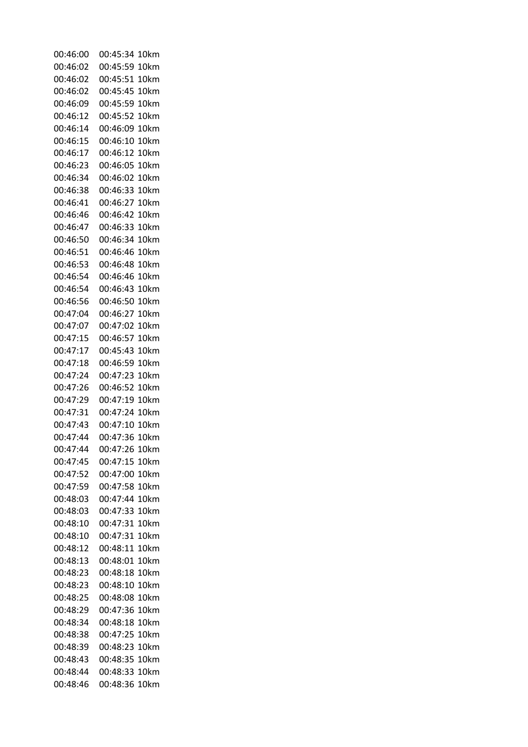| 00:46:00 | 00:45:34<br>10km |
|----------|------------------|
| 00:46:02 | 00:45:59<br>10km |
| 00:46:02 | 00:45:51<br>10km |
| 00:46:02 | 00:45:45<br>10km |
| 00:46:09 | 00:45:59<br>10km |
| 00:46:12 | 00:45:52<br>10km |
| 00:46:14 | 00:46:09<br>10km |
| 00:46:15 | 00:46:10<br>10km |
| 00:46:17 | 00:46:12<br>10km |
| 00:46:23 | 00:46:05<br>10km |
| 00:46:34 | 00:46:02<br>10km |
| 00:46:38 | 00:46:33<br>10km |
| 00:46:41 | 00:46:27<br>10km |
| 00:46:46 | 00:46:42<br>10km |
| 00:46:47 | 00:46:33<br>10km |
| 00:46:50 | 00:46:34<br>10km |
| 00:46:51 | 00:46:46<br>10km |
| 00:46:53 | 00:46:48<br>10km |
| 00:46:54 | 00:46:46<br>10km |
| 00:46:54 | 00:46:43<br>10km |
| 00:46:56 | 00:46:50<br>10km |
| 00:47:04 | 00:46:27<br>10km |
| 00:47:07 | 00:47:02<br>10km |
| 00:47:15 | 00:46:57<br>10km |
| 00:47:17 | 00:45:43<br>10km |
| 00:47:18 | 00:46:59<br>10km |
| 00:47:24 | 00:47:23<br>10km |
| 00:47:26 | 00:46:52<br>10km |
| 00:47:29 | 00:47:19<br>10km |
| 00:47:31 | 00:47:24<br>10km |
| 00:47:43 | 00:47:10<br>10km |
| 00:47:44 | 00:47:36<br>10km |
| 00:47:44 | 00:47:26<br>10km |
| 00:47:45 | 00:47:15<br>10km |
| 00:47:52 | 00:47:00 10km    |
| 00:47:59 | 00:47:58 10km    |
| 00:48:03 | 00:47:44<br>10km |
| 00:48:03 | 10km<br>00:47:33 |
| 00:48:10 | 10km<br>00:47:31 |
| 00:48:10 | 00:47:31<br>10km |
| 00:48:12 | 10km<br>00:48:11 |
| 00:48:13 | 00:48:01 10km    |
| 00:48:23 | 00:48:18<br>10km |
| 00:48:23 | 00:48:10<br>10km |
| 00:48:25 | 00:48:08<br>10km |
| 00:48:29 | 00:47:36<br>10km |
| 00:48:34 | 00:48:18<br>10km |
| 00:48:38 | 00:47:25 10km    |
| 00:48:39 | 00:48:23 10km    |
| 00:48:43 | 00:48:35<br>10km |
| 00:48:44 | 00:48:33<br>10km |
| 00:48:46 | 00:48:36<br>10km |
|          |                  |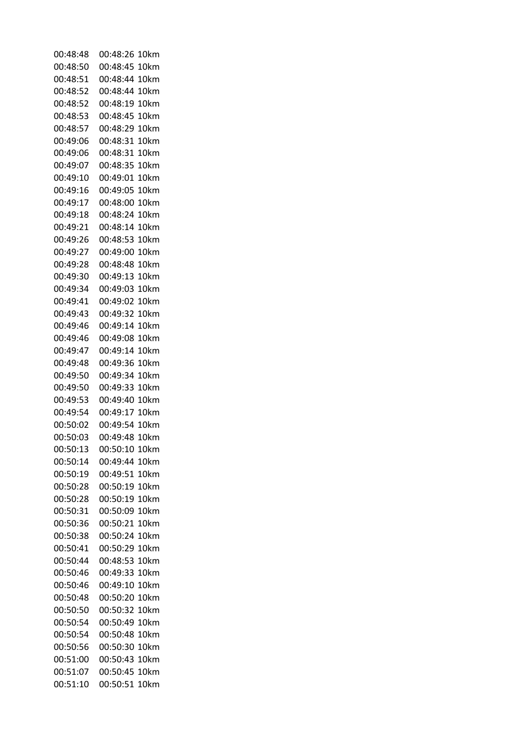| 00:48:48 | 00:48:26<br>10km |
|----------|------------------|
| 00:48:50 | 00:48:45<br>10km |
| 00:48:51 | 00:48:44<br>10km |
| 00:48:52 | 00:48:44<br>10km |
| 00:48:52 | 00:48:19<br>10km |
| 00:48:53 | 00:48:45<br>10km |
| 00:48:57 | 00:48:29<br>10km |
| 00:49:06 | 00:48:31<br>10km |
| 00:49:06 | 00:48:31<br>10km |
| 00:49:07 | 00:48:35<br>10km |
| 00:49:10 | 00:49:01<br>10km |
| 00:49:16 | 00:49:05<br>10km |
| 00:49:17 | 00:48:00<br>10km |
| 00:49:18 | 00:48:24<br>10km |
| 00:49:21 | 00:48:14<br>10km |
| 00:49:26 | 00:48:53<br>10km |
| 00:49:27 | 00:49:00<br>10km |
| 00:49:28 | 00:48:48<br>10km |
| 00:49:30 | 00:49:13<br>10km |
| 00:49:34 | 00:49:03<br>10km |
| 00:49:41 | 00:49:02<br>10km |
| 00:49:43 | 00:49:32<br>10km |
| 00:49:46 | 00:49:14<br>10km |
| 00:49:46 | 00:49:08<br>10km |
| 00:49:47 | 00:49:14<br>10km |
| 00:49:48 | 00:49:36<br>10km |
| 00:49:50 | 00:49:34<br>10km |
| 00:49:50 | 00:49:33<br>10km |
| 00:49:53 | 00:49:40<br>10km |
| 00:49:54 | 00:49:17<br>10km |
| 00:50:02 | 00:49:54<br>10km |
| 00:50:03 | 00:49:48<br>10km |
| 00:50:13 | 00:50:10<br>10km |
| 00:50:14 | 00:49:44 10km    |
| 00:50:19 | 00:49:51 10km    |
| 00:50:28 | 00:50:19 10km    |
| 00:50:28 | 00:50:19<br>10km |
| 00:50:31 | 00:50:09<br>10km |
| 00:50:36 | 00:50:21<br>10km |
| 00:50:38 | 00:50:24 10km    |
| 00:50:41 | 00:50:29<br>10km |
| 00:50:44 | 00:48:53 10km    |
| 00:50:46 | 00:49:33 10km    |
| 00:50:46 | 00:49:10<br>10km |
| 00:50:48 | 00:50:20<br>10km |
| 00:50:50 | 00:50:32<br>10km |
| 00:50:54 | 00:50:49<br>10km |
| 00:50:54 | 00:50:48 10km    |
| 00:50:56 | 00:50:30 10km    |
| 00:51:00 | 00:50:43<br>10km |
| 00:51:07 | 00:50:45 10km    |
| 00:51:10 | 00:50:51 10km    |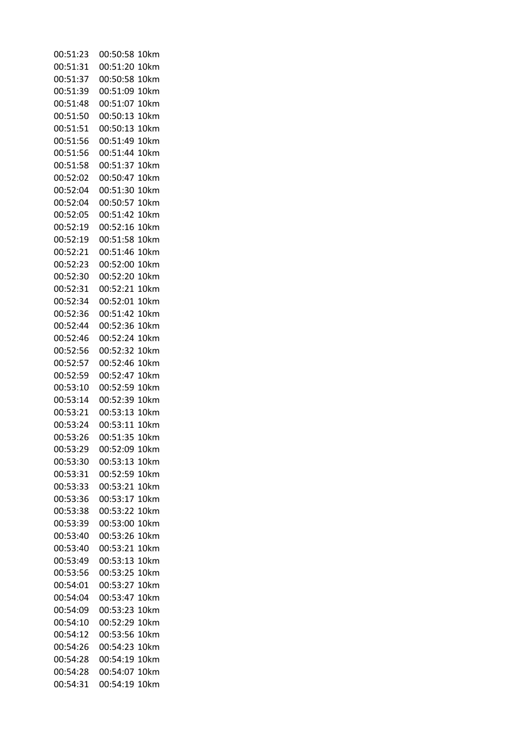| 00:51:23 | 00:50:58<br>10km     |
|----------|----------------------|
| 00:51:31 | 00:51:20<br>10km     |
| 00:51:37 | 00:50:58<br>10km     |
| 00:51:39 | 00:51:09<br>10km     |
| 00:51:48 | 00:51:07<br>10km     |
| 00:51:50 | 00:50:13<br>10km     |
| 00:51:51 | 00:50:13<br>10km     |
| 00:51:56 | 00:51:49<br>10km     |
| 00:51:56 | 00:51:44<br>10km     |
| 00:51:58 | 00:51:37<br>10km     |
| 00:52:02 | 00:50:47<br>10km     |
| 00:52:04 | 00:51:30<br>10km     |
| 00:52:04 | 00:50:57<br>10km     |
| 00:52:05 | 00:51:42<br>10km     |
| 00:52:19 | 00:52:16<br>10km     |
| 00:52:19 | 00:51:58<br>10km     |
| 00:52:21 | 00:51:46<br>10km     |
| 00:52:23 | 00:52:00<br>10km     |
| 00:52:30 | 00:52:20<br>10km     |
| 00:52:31 | 00:52:21<br>10km     |
| 00:52:34 | 00:52:01<br>10km     |
| 00:52:36 | 00:51:42<br>10km     |
| 00:52:44 | 00:52:36<br>10km     |
| 00:52:46 | 00:52:24<br>10km     |
| 00:52:56 | 00:52:32<br>10km     |
| 00:52:57 | 00:52:46<br>10km     |
| 00:52:59 | 00:52:47<br>10km     |
| 00:53:10 | 00:52:59<br>10km     |
| 00:53:14 | 00:52:39<br>10km     |
| 00:53:21 | 00:53:13<br>10km     |
| 00:53:24 | 00:53:11<br>10km     |
| 00:53:26 | 00:51:35<br>10km     |
| 00:53:29 | 00:52:09<br>10km     |
| 00:53:30 | 00:53:13 10km        |
| 00:53:31 | 00:52:59 10km        |
| 00:53:33 | 00:53:21 10km        |
| 00:53:36 | 00:53:17<br>10km     |
| 00:53:38 | 00:53:22<br>10km     |
| 00:53:39 | 00:53:00<br>10km     |
| 00:53:40 | 00:53:26<br>10km     |
| 00:53:40 | 00:53:21<br>10km     |
| 00:53:49 | 00:53:13<br>10km     |
| 00:53:56 | 00:53:25 10km        |
| 00:54:01 | 00:53:27<br>10km     |
| 00:54:04 | 10km                 |
| 00:54:09 | 00:53:47<br>00:53:23 |
|          | 10km                 |
| 00:54:10 | 00:52:29<br>10km     |
| 00:54:12 | 00:53:56 10km        |
| 00:54:26 | 00:54:23<br>10km     |
| 00:54:28 | 00:54:19<br>10km     |
| 00:54:28 | 10km<br>00:54:07     |
| 00:54:31 | 10km<br>00:54:19     |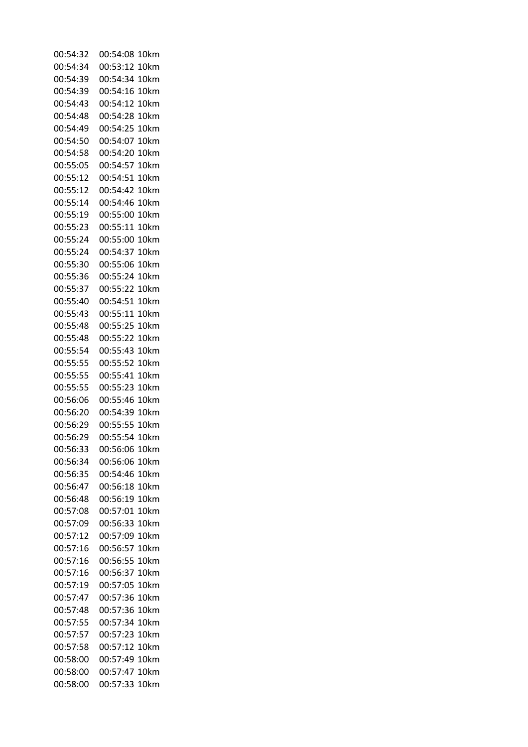| 00:54:32 | 00:54:08<br>10km |
|----------|------------------|
| 00:54:34 | 00:53:12<br>10km |
| 00:54:39 | 00:54:34<br>10km |
| 00:54:39 | 00:54:16<br>10km |
| 00:54:43 | 00:54:12<br>10km |
| 00:54:48 | 00:54:28<br>10km |
| 00:54:49 | 00:54:25<br>10km |
| 00:54:50 | 00:54:07<br>10km |
| 00:54:58 | 00:54:20<br>10km |
| 00:55:05 | 00:54:57<br>10km |
| 00:55:12 | 00:54:51<br>10km |
| 00:55:12 | 00:54:42<br>10km |
| 00:55:14 | 00:54:46<br>10km |
| 00:55:19 | 00:55:00<br>10km |
| 00:55:23 | 00:55:11<br>10km |
| 00:55:24 | 00:55:00<br>10km |
| 00:55:24 | 00:54:37<br>10km |
| 00:55:30 | 00:55:06<br>10km |
| 00:55:36 | 00:55:24<br>10km |
| 00:55:37 | 00:55:22<br>10km |
| 00:55:40 | 00:54:51<br>10km |
| 00:55:43 | 00:55:11<br>10km |
| 00:55:48 | 00:55:25<br>10km |
| 00:55:48 | 00:55:22<br>10km |
| 00:55:54 | 00:55:43<br>10km |
| 00:55:55 | 00:55:52<br>10km |
| 00:55:55 | 00:55:41<br>10km |
| 00:55:55 | 00:55:23<br>10km |
| 00:56:06 | 00:55:46<br>10km |
| 00:56:20 | 00:54:39<br>10km |
| 00:56:29 | 00:55:55<br>10km |
| 00:56:29 | 00:55:54<br>10km |
| 00:56:33 | 00:56:06<br>10km |
| 00:56:34 | 00:56:06 10km    |
| 00:56:35 | 00:54:46<br>10km |
| 00:56:47 | 00:56:18 10km    |
| 00:56:48 | 00:56:19 10km    |
| 00:57:08 | 00:57:01<br>10km |
| 00:57:09 | 00:56:33<br>10km |
| 00:57:12 | 00:57:09<br>10km |
| 00:57:16 | 00:56:57<br>10km |
| 00:57:16 | 00:56:55 10km    |
| 00:57:16 | 00:56:37<br>10km |
| 00:57:19 | 00:57:05<br>10km |
| 00:57:47 | 00:57:36<br>10km |
| 00:57:48 | 00:57:36<br>10km |
| 00:57:55 | 00:57:34<br>10km |
| 00:57:57 | 00:57:23<br>10km |
| 00:57:58 | 00:57:12<br>10km |
| 00:58:00 | 00:57:49<br>10km |
| 00:58:00 | 00:57:47<br>10km |
| 00:58:00 | 00:57:33<br>10km |
|          |                  |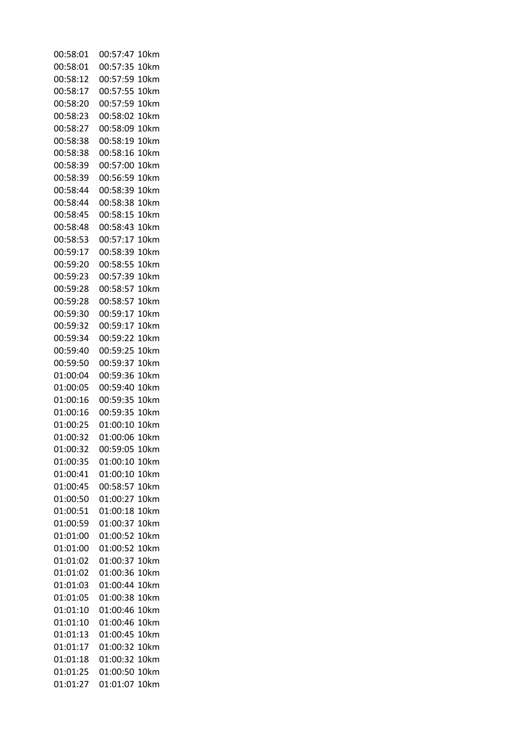| 00:58:01 | 00:57:47<br>10km |
|----------|------------------|
| 00:58:01 | 00:57:35<br>10km |
| 00:58:12 | 00:57:59<br>10km |
| 00:58:17 | 00:57:55<br>10km |
| 00:58:20 | 00:57:59<br>10km |
| 00:58:23 | 00:58:02<br>10km |
| 00:58:27 | 00:58:09<br>10km |
| 00:58:38 | 00:58:19<br>10km |
| 00:58:38 | 00:58:16<br>10km |
| 00:58:39 | 00:57:00<br>10km |
| 00:58:39 | 00:56:59<br>10km |
| 00:58:44 | 00:58:39<br>10km |
| 00:58:44 | 00:58:38<br>10km |
| 00:58:45 | 00:58:15<br>10km |
| 00:58:48 | 00:58:43<br>10km |
| 00:58:53 | 00:57:17<br>10km |
| 00:59:17 | 00:58:39<br>10km |
| 00:59:20 | 00:58:55<br>10km |
| 00:59:23 | 00:57:39<br>10km |
| 00:59:28 | 00:58:57<br>10km |
| 00:59:28 | 00:58:57<br>10km |
| 00:59:30 | 00:59:17<br>10km |
| 00:59:32 | 00:59:17<br>10km |
| 00:59:34 | 00:59:22<br>10km |
| 00:59:40 | 00:59:25<br>10km |
| 00:59:50 | 00:59:37<br>10km |
| 01:00:04 | 00:59:36<br>10km |
| 01:00:05 | 00:59:40<br>10km |
| 01:00:16 | 00:59:35<br>10km |
| 01:00:16 | 00:59:35<br>10km |
| 01:00:25 | 01:00:10<br>10km |
| 01:00:32 | 01:00:06<br>10km |
| 01:00:32 | 00:59:05<br>10km |
| 01:00:35 | 01:00:10<br>10km |
| 01:00:41 | 01:00:10<br>10km |
| 01:00:45 | 00:58:57<br>10km |
| 01:00:50 | 01:00:27<br>10km |
| 01:00:51 | 01:00:18<br>10km |
| 01:00:59 | 01:00:37<br>10km |
| 01:01:00 | 01:00:52<br>10km |
| 01:01:00 | 01:00:52<br>10km |
| 01:01:02 | 01:00:37<br>10km |
| 01:01:02 | 01:00:36<br>10km |
| 01:01:03 | 01:00:44<br>10km |
| 01:01:05 | 01:00:38<br>10km |
| 01:01:10 | 01:00:46<br>10km |
| 01:01:10 | 01:00:46<br>10km |
| 01:01:13 | 01:00:45<br>10km |
| 01:01:17 | 01:00:32<br>10km |
| 01:01:18 | 01:00:32<br>10km |
| 01:01:25 | 01:00:50<br>10km |
| 01:01:27 | 01:01:07<br>10km |
|          |                  |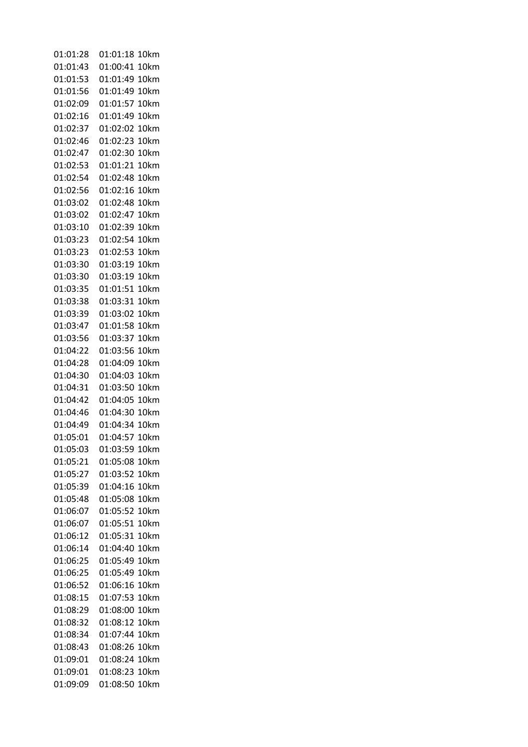| 01:01:28 | 01:01:18<br>10km |
|----------|------------------|
| 01:01:43 | 01:00:41<br>10km |
| 01:01:53 | 01:01:49<br>10km |
| 01:01:56 | 01:01:49<br>10km |
| 01:02:09 | 01:01:57<br>10km |
| 01:02:16 | 01:01:49<br>10km |
| 01:02:37 | 01:02:02<br>10km |
| 01:02:46 | 01:02:23<br>10km |
| 01:02:47 | 01:02:30<br>10km |
| 01:02:53 | 01:01:21<br>10km |
| 01:02:54 | 01:02:48<br>10km |
| 01:02:56 | 01:02:16<br>10km |
| 01:03:02 | 01:02:48<br>10km |
| 01:03:02 | 01:02:47<br>10km |
| 01:03:10 | 01:02:39<br>10km |
| 01:03:23 | 01:02:54<br>10km |
| 01:03:23 | 01:02:53<br>10km |
| 01:03:30 | 01:03:19<br>10km |
| 01:03:30 | 01:03:19<br>10km |
| 01:03:35 | 01:01:51<br>10km |
| 01:03:38 | 01:03:31<br>10km |
| 01:03:39 | 01:03:02<br>10km |
| 01:03:47 | 01:01:58<br>10km |
| 01:03:56 | 01:03:37<br>10km |
| 01:04:22 | 01:03:56<br>10km |
| 01:04:28 | 01:04:09<br>10km |
| 01:04:30 | 01:04:03<br>10km |
| 01:04:31 | 01:03:50<br>10km |
| 01:04:42 | 01:04:05<br>10km |
| 01:04:46 | 01:04:30<br>10km |
| 01:04:49 | 01:04:34<br>10km |
| 01:05:01 | 01:04:57<br>10km |
| 01:05:03 | 01:03:59<br>10km |
| 01:05:21 | 01:05:08<br>10km |
| 01:05:27 | 01:03:52<br>10km |
| 01:05:39 | 01:04:16<br>10km |
| 01:05:48 | 01:05:08<br>10km |
| 01:06:07 | 01:05:52<br>10km |
| 01:06:07 | 01:05:51<br>10km |
| 01:06:12 | 01:05:31<br>10km |
| 01:06:14 | 01:04:40<br>10km |
| 01:06:25 | 01:05:49<br>10km |
| 01:06:25 | 01:05:49<br>10km |
| 01:06:52 | 01:06:16<br>10km |
| 01:08:15 | 01:07:53<br>10km |
| 01:08:29 | 01:08:00<br>10km |
| 01:08:32 | 01:08:12<br>10km |
| 01:08:34 | 01:07:44<br>10km |
| 01:08:43 | 01:08:26<br>10km |
| 01:09:01 | 01:08:24<br>10km |
| 01:09:01 | 01:08:23<br>10km |
| 01:09:09 | 01:08:50<br>10km |
|          |                  |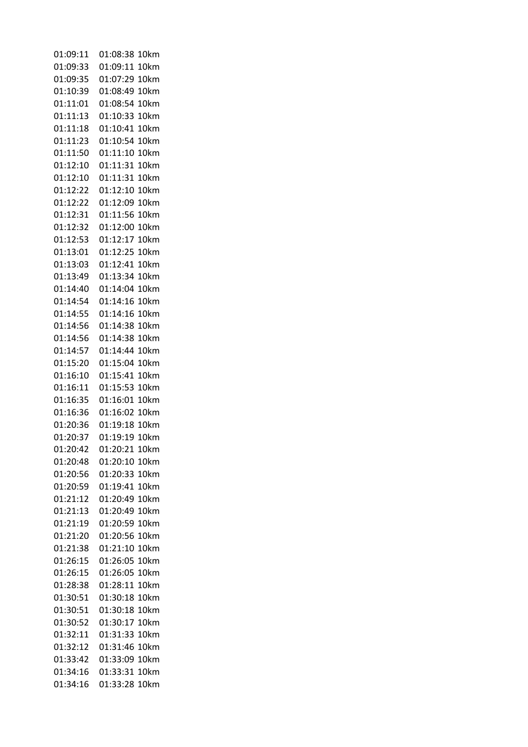| 01:09:11 | 01:08:38<br>10km |
|----------|------------------|
| 01:09:33 | 01:09:11<br>10km |
| 01:09:35 | 01:07:29<br>10km |
| 01:10:39 | 01:08:49<br>10km |
| 01:11:01 | 01:08:54<br>10km |
| 01:11:13 | 01:10:33<br>10km |
| 01:11:18 | 01:10:41<br>10km |
| 01:11:23 | 01:10:54<br>10km |
| 01:11:50 | 01:11:10<br>10km |
| 01:12:10 | 01:11:31<br>10km |
| 01:12:10 | 01:11:31<br>10km |
| 01:12:22 | 01:12:10<br>10km |
| 01:12:22 | 01:12:09<br>10km |
| 01:12:31 | 01:11:56<br>10km |
| 01:12:32 | 01:12:00<br>10km |
| 01:12:53 | 01:12:17<br>10km |
| 01:13:01 | 01:12:25<br>10km |
| 01:13:03 |                  |
|          | 01:12:41<br>10km |
| 01:13:49 | 01:13:34<br>10km |
| 01:14:40 | 01:14:04<br>10km |
| 01:14:54 | 01:14:16<br>10km |
| 01:14:55 | 01:14:16<br>10km |
| 01:14:56 | 01:14:38<br>10km |
| 01:14:56 | 01:14:38<br>10km |
| 01:14:57 | 01:14:44<br>10km |
| 01:15:20 | 01:15:04<br>10km |
| 01:16:10 | 01:15:41<br>10km |
| 01:16:11 | 01:15:53<br>10km |
| 01:16:35 | 01:16:01<br>10km |
| 01:16:36 | 01:16:02<br>10km |
| 01:20:36 | 01:19:18<br>10km |
| 01:20:37 | 01:19:19<br>10km |
| 01:20:42 | 01:20:21<br>10km |
| 01:20:48 | 01:20:10<br>10km |
| 01:20:56 | 01:20:33<br>10km |
| 01:20:59 | 01:19:41<br>10km |
| 01:21:12 | 01:20:49<br>10km |
| 01:21:13 | 01:20:49<br>10km |
| 01:21:19 | 01:20:59<br>10km |
| 01:21:20 | 01:20:56<br>10km |
| 01:21:38 | 01:21:10<br>10km |
| 01:26:15 | 01:26:05<br>10km |
| 01:26:15 | 01:26:05<br>10km |
| 01:28:38 | 01:28:11<br>10km |
| 01:30:51 | 01:30:18<br>10km |
| 01:30:51 | 01:30:18<br>10km |
| 01:30:52 | 01:30:17<br>10km |
| 01:32:11 | 01:31:33<br>10km |
| 01:32:12 | 01:31:46<br>10km |
| 01:33:42 | 01:33:09<br>10km |
| 01:34:16 | 01:33:31<br>10km |
| 01:34:16 | 01:33:28<br>10km |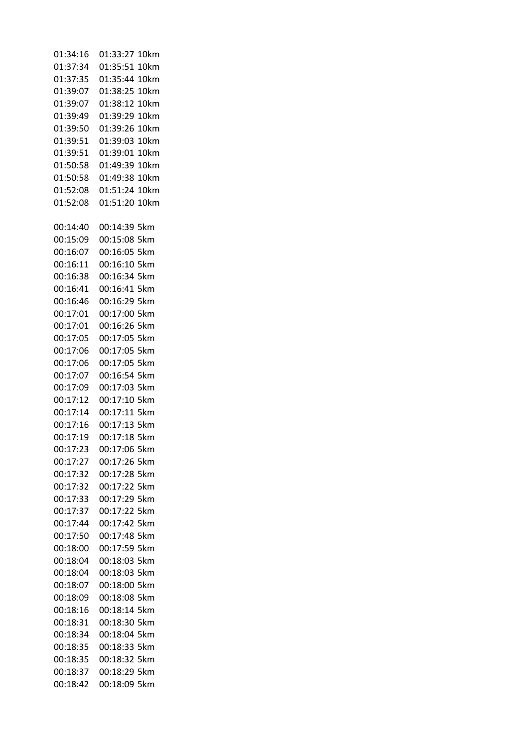| 01:34:16 | 01:33:27<br>10km |
|----------|------------------|
| 01:37:34 | 01:35:51<br>10km |
| 01:37:35 | 01:35:44<br>10km |
| 01:39:07 | 01:38:25<br>10km |
| 01:39:07 | 01:38:12<br>10km |
| 01:39:49 | 01:39:29<br>10km |
| 01:39:50 | 01:39:26<br>10km |
| 01:39:51 | 01:39:03<br>10km |
| 01:39:51 | 01:39:01<br>10km |
| 01:50:58 | 01:49:39<br>10km |
| 01:50:58 | 01:49:38<br>10km |
| 01:52:08 | 01:51:24<br>10km |
| 01:52:08 | 01:51:20<br>10km |
| 00:14:40 | 00:14:39<br>5km  |
| 00:15:09 | 00:15:08<br>5km  |
| 00:16:07 | 00:16:05<br>5km  |
| 00:16:11 | 00:16:10<br>5km  |
| 00:16:38 | 00:16:34<br>5km  |
| 00:16:41 | 00:16:41<br>5km  |
| 00:16:46 | 00:16:29<br>5km  |
| 00:17:01 | 00:17:00<br>5km  |
| 00:17:01 | 00:16:26<br>5km  |
| 00:17:05 | 00:17:05<br>5km  |
| 00:17:06 | 00:17:05<br>5km  |
| 00:17:06 | 00:17:05<br>5km  |
| 00:17:07 | 00:16:54<br>5km  |
| 00:17:09 | 00:17:03<br>5km  |
| 00:17:12 | 00:17:10<br>5km  |
| 00:17:14 | 00:17:11<br>5km  |
| 00:17:16 | 00:17:13<br>5km  |
| 00:17:19 | 00:17:18<br>5km  |
| 00:17:23 | 00:17:06 5km     |
| 00:17:27 | 00:17:26 5km     |
| 00:17:32 | 00:17:28 5km     |
| 00:17:32 | 00:17:22 5km     |
| 00:17:33 | 00:17:29 5km     |
| 00:17:37 | 00:17:22 5km     |
| 00:17:44 | 00:17:42 5km     |
| 00:17:50 | 00:17:48 5km     |
| 00:18:00 | 00:17:59 5km     |
| 00:18:04 | 00:18:03 5km     |
| 00:18:04 | 00:18:03 5km     |
| 00:18:07 | 00:18:00 5km     |
| 00:18:09 | 00:18:08 5km     |
| 00:18:16 | 00:18:14 5km     |
| 00:18:31 | 00:18:30 5km     |
| 00:18:34 | 00:18:04 5km     |
| 00:18:35 | 00:18:33 5km     |
| 00:18:35 | 00:18:32 5km     |
| 00:18:37 | 00:18:29 5km     |
| 00:18:42 | 00:18:09 5km     |
|          |                  |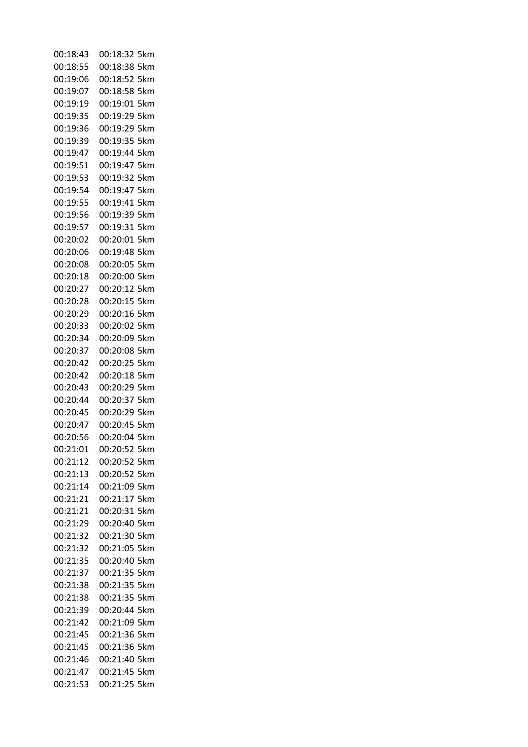| 00:18:43 | 00:18:32 5km    |
|----------|-----------------|
| 00:18:55 | 00:18:38 5km    |
| 00:19:06 | 00:18:52 5km    |
| 00:19:07 | 00:18:58 5km    |
| 00:19:19 | 00:19:01 5km    |
| 00:19:35 | 00:19:29<br>5km |
| 00:19:36 | 00:19:29 5km    |
| 00:19:39 | 00:19:35 5km    |
| 00:19:47 | 00:19:44<br>5km |
| 00:19:51 | 00:19:47<br>5km |
| 00:19:53 | 00:19:32 5km    |
| 00:19:54 | 5km<br>00:19:47 |
| 00:19:55 | 00:19:41<br>5km |
| 00:19:56 | 00:19:39 5km    |
| 00:19:57 | 00:19:31<br>5km |
| 00:20:02 | 00:20:01<br>5km |
| 00:20:06 | 00:19:48<br>5km |
| 00:20:08 | 00:20:05 5km    |
| 00:20:18 | 00:20:00 5km    |
| 00:20:27 | 00:20:12 5km    |
| 00:20:28 | 00:20:15 5km    |
| 00:20:29 | 00:20:16<br>5km |
| 00:20:33 | 5km             |
|          | 00:20:02        |
| 00:20:34 | 00:20:09 5km    |
| 00:20:37 | 00:20:08<br>5km |
| 00:20:42 | 00:20:25<br>5km |
| 00:20:42 | 00:20:18 5km    |
| 00:20:43 | 00:20:29<br>5km |
| 00:20:44 | 00:20:37<br>5km |
| 00:20:45 | 00:20:29 5km    |
| 00:20:47 | 00:20:45<br>5km |
| 00:20:56 | 00:20:04 5km    |
| 00:21:01 | 00:20:52 5km    |
| 00:21:12 | 00:20:52 5km    |
| 00:21:13 | 00:20:52 5km    |
| 00:21:14 | 00:21:09 5km    |
| 00:21:21 | 00:21:17 5km    |
| 00:21:21 | 00:20:31 5km    |
| 00:21:29 | 00:20:40 5km    |
| 00:21:32 | 00:21:30 5km    |
| 00:21:32 | 00:21:05 5km    |
| 00:21:35 | 00:20:40 5km    |
| 00:21:37 | 00:21:35 5km    |
| 00:21:38 | 00:21:35 5km    |
| 00:21:38 | 00:21:35 5km    |
| 00:21:39 | 00:20:44 5km    |
| 00:21:42 | 00:21:09 5km    |
| 00:21:45 | 00:21:36 5km    |
| 00:21:45 | 00:21:36 5km    |
| 00:21:46 | 00:21:40 5km    |
| 00:21:47 | 00:21:45 5km    |
| 00:21:53 | 00:21:25 5km    |
|          |                 |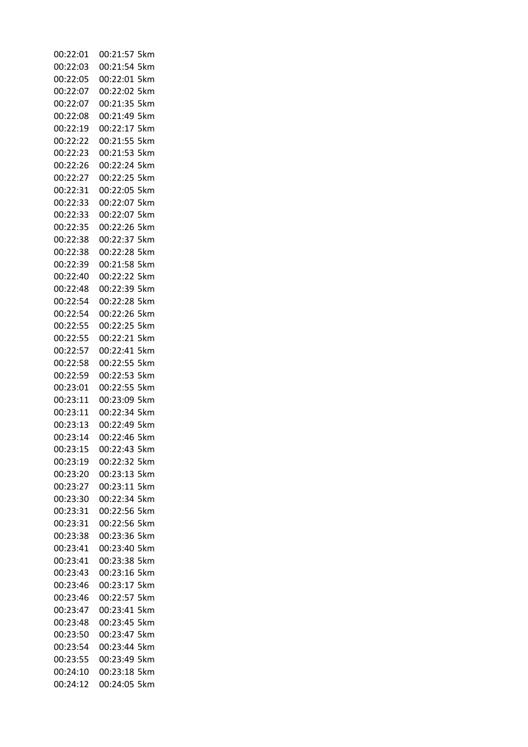| 00:22:01 | 00:21:57 5km    |
|----------|-----------------|
| 00:22:03 | 00:21:54 5km    |
| 00:22:05 | 00:22:01 5km    |
| 00:22:07 | 00:22:02 5km    |
| 00:22:07 | 00:21:35 5km    |
| 00:22:08 | 00:21:49 5km    |
| 00:22:19 | 00:22:17 5km    |
| 00:22:22 | 00:21:55 5km    |
| 00:22:23 | 00:21:53 5km    |
| 00:22:26 | 00:22:24 5km    |
| 00:22:27 | 00:22:25 5km    |
| 00:22:31 | 00:22:05 5km    |
| 00:22:33 | 00:22:07 5km    |
| 00:22:33 | 00:22:07 5km    |
| 00:22:35 | 00:22:26 5km    |
| 00:22:38 | 00:22:37 5km    |
| 00:22:38 | 00:22:28 5km    |
| 00:22:39 | 00:21:58 5km    |
| 00:22:40 | 00:22:22 5km    |
| 00:22:48 | 00:22:39 5km    |
| 00:22:54 | 00:22:28 5km    |
| 00:22:54 | 00:22:26<br>5km |
| 00:22:55 | 00:22:25<br>5km |
| 00:22:55 | 00:22:21 5km    |
| 00:22:57 | 00:22:41<br>5km |
| 00:22:58 | 00:22:55 5km    |
| 00:22:59 | 00:22:53 5km    |
| 00:23:01 | 00:22:55<br>5km |
| 00:23:11 | 00:23:09 5km    |
| 00:23:11 | 00:22:34 5km    |
| 00:23:13 | 00:22:49<br>5km |
| 00:23:14 | 00:22:46 5km    |
| 00:23:15 | 00:22:43 5km    |
| 00:23:19 | 00:22:32 5km    |
| 00:23:20 | 00:23:13 5km    |
| 00:23:27 | 00:23:11 5km    |
| 00:23:30 | 00:22:34 5km    |
| 00:23:31 | 00:22:56 5km    |
| 00:23:31 | 00:22:56 5km    |
| 00:23:38 | 00:23:36 5km    |
| 00:23:41 | 00:23:40 5km    |
| 00:23:41 | 00:23:38 5km    |
| 00:23:43 | 00:23:16 5km    |
| 00:23:46 | 00:23:17 5km    |
| 00:23:46 | 00:22:57 5km    |
| 00:23:47 | 00:23:41 5km    |
| 00:23:48 | 00:23:45 5km    |
| 00:23:50 | 00:23:47 5km    |
| 00:23:54 | 00:23:44 5km    |
| 00:23:55 | 00:23:49 5km    |
| 00:24:10 | 00:23:18 5km    |
| 00:24:12 | 00:24:05 5km    |
|          |                 |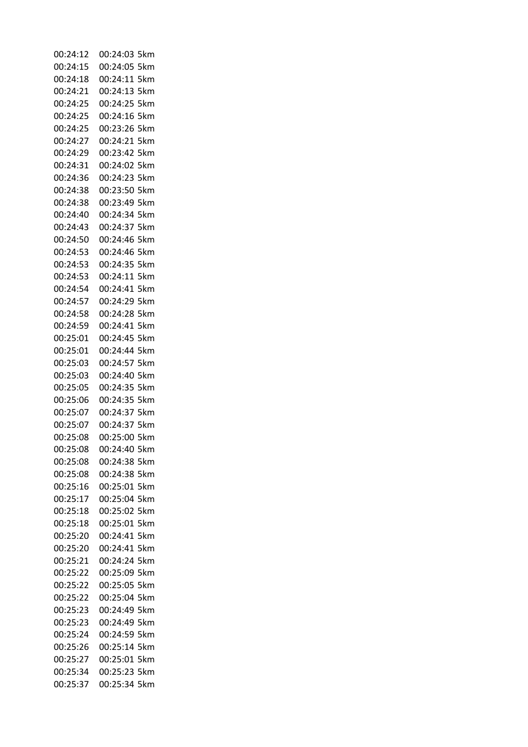| 00:24:12 | 00:24:03 5km    |
|----------|-----------------|
| 00:24:15 | 00:24:05 5km    |
| 00:24:18 | 00:24:11 5km    |
| 00:24:21 | 00:24:13 5km    |
| 00:24:25 | 00:24:25 5km    |
| 00:24:25 | 00:24:16 5km    |
| 00:24:25 | 00:23:26 5km    |
| 00:24:27 | 00:24:21 5km    |
| 00:24:29 | 00:23:42 5km    |
| 00:24:31 | 00:24:02 5km    |
| 00:24:36 | 00:24:23 5km    |
| 00:24:38 | 00:23:50 5km    |
| 00:24:38 | 00:23:49 5km    |
| 00:24:40 | 00:24:34 5km    |
| 00:24:43 | 00:24:37 5km    |
| 00:24:50 | 00:24:46 5km    |
| 00:24:53 | 00:24:46 5km    |
| 00:24:53 | 00:24:35 5km    |
| 00:24:53 | 00:24:11 5km    |
| 00:24:54 | 00:24:41 5km    |
| 00:24:57 | 00:24:29 5km    |
| 00:24:58 | 00:24:28 5km    |
| 00:24:59 | 00:24:41 5km    |
| 00:25:01 | 00:24:45<br>5km |
| 00:25:01 | 00:24:44 5km    |
| 00:25:03 | 00:24:57 5km    |
| 00:25:03 | 00:24:40 5km    |
| 00:25:05 | 00:24:35 5km    |
| 00:25:06 | 00:24:35 5km    |
| 00:25:07 | 00:24:37 5km    |
| 00:25:07 | 00:24:37 5km    |
| 00:25:08 | 00:25:00 5km    |
| 00:25:08 | 00:24:40 5km    |
| 00:25:08 | 00:24:38 5km    |
| 00:25:08 | 00:24:38 5km    |
| 00:25:16 | 00:25:01 5km    |
| 00:25:17 | 00:25:04 5km    |
| 00:25:18 | 00:25:02 5km    |
| 00:25:18 | 00:25:01 5km    |
| 00:25:20 | 00:24:41<br>5km |
| 00:25:20 | 00:24:41<br>5km |
| 00:25:21 | 00:24:24 5km    |
| 00:25:22 | 00:25:09 5km    |
| 00:25:22 | 00:25:05 5km    |
| 00:25:22 | 00:25:04 5km    |
| 00:25:23 | 00:24:49 5km    |
| 00:25:23 | 00:24:49 5km    |
| 00:25:24 | 00:24:59 5km    |
| 00:25:26 | 00:25:14 5km    |
| 00:25:27 | 00:25:01 5km    |
| 00:25:34 | 00:25:23 5km    |
| 00:25:37 | 00:25:34 5km    |
|          |                 |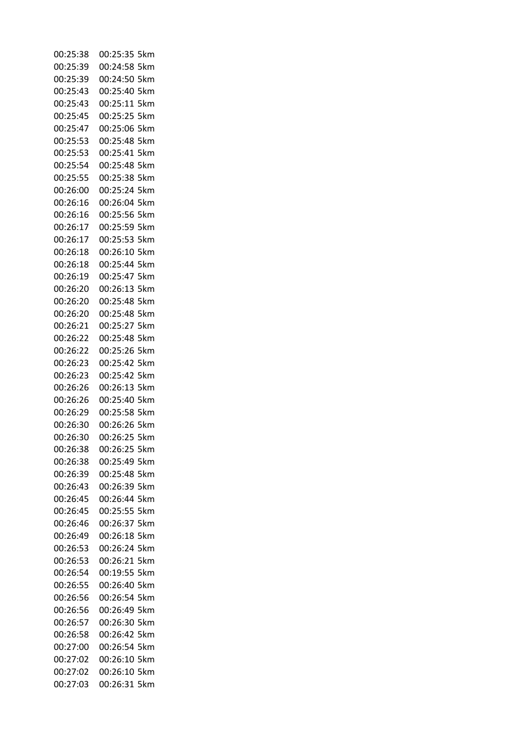| 00:25:38 | 00:25:35 5km    |
|----------|-----------------|
| 00:25:39 | 00:24:58 5km    |
| 00:25:39 | 00:24:50 5km    |
| 00:25:43 | 00:25:40 5km    |
| 00:25:43 | 00:25:11 5km    |
| 00:25:45 | 00:25:25<br>5km |
| 00:25:47 | 00:25:06 5km    |
| 00:25:53 | 00:25:48 5km    |
| 00:25:53 | 00:25:41<br>5km |
| 00:25:54 | 00:25:48<br>5km |
| 00:25:55 | 00:25:38 5km    |
| 00:26:00 | 00:25:24<br>5km |
| 00:26:16 | 00:26:04<br>5km |
| 00:26:16 | 00:25:56 5km    |
| 00:26:17 | 00:25:59<br>5km |
| 00:26:17 | 00:25:53<br>5km |
| 00:26:18 | 00:26:10<br>5km |
| 00:26:18 | 00:25:44 5km    |
| 00:26:19 | 00:25:47<br>5km |
| 00:26:20 | 00:26:13 5km    |
| 00:26:20 | 00:25:48 5km    |
| 00:26:20 | 00:25:48<br>5km |
| 00:26:21 | 00:25:27<br>5km |
| 00:26:22 | 00:25:48<br>5km |
| 00:26:22 | 00:25:26<br>5km |
| 00:26:23 | 00:25:42<br>5km |
| 00:26:23 | 00:25:42 5km    |
| 00:26:26 | 00:26:13<br>5km |
| 00:26:26 | 00:25:40<br>5km |
| 00:26:29 | 00:25:58 5km    |
| 00:26:30 | 00:26:26<br>5km |
| 00:26:30 | 00:26:25 5km    |
| 00:26:38 | 00:26:25 5km    |
| 00:26:38 | 00:25:49 5km    |
| 00:26:39 | 00:25:48 5km    |
| 00:26:43 | 00:26:39 5km    |
| 00:26:45 | 00:26:44 5km    |
| 00:26:45 | 00:25:55 5km    |
| 00:26:46 | 00:26:37 5km    |
| 00:26:49 | 00:26:18 5km    |
| 00:26:53 | 00:26:24 5km    |
| 00:26:53 | 00:26:21 5km    |
| 00:26:54 | 00:19:55 5km    |
| 00:26:55 | 00:26:40 5km    |
| 00:26:56 | 00:26:54 5km    |
| 00:26:56 | 00:26:49 5km    |
| 00:26:57 | 00:26:30 5km    |
| 00:26:58 | 00:26:42 5km    |
| 00:27:00 | 00:26:54 5km    |
| 00:27:02 | 00:26:10 5km    |
| 00:27:02 | 00:26:10 5km    |
| 00:27:03 | 00:26:31 5km    |
|          |                 |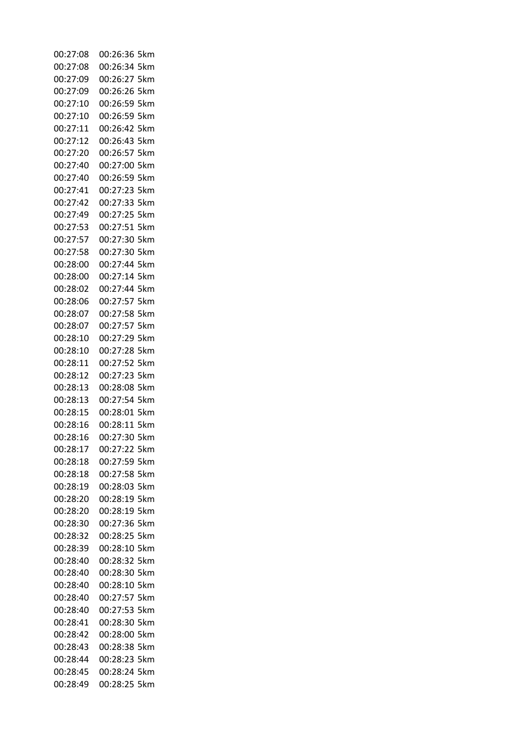| 00:27:08 | 00:26:36 5km    |
|----------|-----------------|
| 00:27:08 | 00:26:34 5km    |
| 00:27:09 | 00:26:27 5km    |
| 00:27:09 | 00:26:26 5km    |
| 00:27:10 | 00:26:59 5km    |
| 00:27:10 | 00:26:59 5km    |
| 00:27:11 | 00:26:42 5km    |
| 00:27:12 | 00:26:43 5km    |
| 00:27:20 | 00:26:57 5km    |
| 00:27:40 | 00:27:00 5km    |
| 00:27:40 | 00:26:59 5km    |
| 00:27:41 | 00:27:23 5km    |
| 00:27:42 | 00:27:33 5km    |
| 00:27:49 | 00:27:25 5km    |
| 00:27:53 | 00:27:51 5km    |
| 00:27:57 | 00:27:30 5km    |
| 00:27:58 | 00:27:30 5km    |
| 00:28:00 | 00:27:44 5km    |
| 00:28:00 | 00:27:14 5km    |
| 00:28:02 | 00:27:44 5km    |
| 00:28:06 | 00:27:57 5km    |
| 00:28:07 | 00:27:58 5km    |
| 00:28:07 | 00:27:57 5km    |
| 00:28:10 | 00:27:29<br>5km |
| 00:28:10 | 00:27:28 5km    |
| 00:28:11 | 00:27:52 5km    |
| 00:28:12 | 00:27:23 5km    |
| 00:28:13 | 00:28:08 5km    |
| 00:28:13 | 00:27:54 5km    |
| 00:28:15 | 00:28:01 5km    |
| 00:28:16 | 00:28:11 5km    |
| 00:28:16 | 00:27:30 5km    |
| 00:28:17 | 00:27:22 5km    |
| 00:28:18 | 00:27:59 5km    |
| 00:28:18 | 00:27:58 5km    |
| 00:28:19 | 00:28:03 5km    |
| 00:28:20 | 00:28:19 5km    |
| 00:28:20 | 00:28:19 5km    |
| 00:28:30 | 00:27:36 5km    |
| 00:28:32 | 00:28:25 5km    |
| 00:28:39 | 00:28:10<br>5km |
| 00:28:40 | 00:28:32 5km    |
| 00:28:40 | 00:28:30 5km    |
| 00:28:40 | 00:28:10<br>5km |
| 00:28:40 | 00:27:57 5km    |
| 00:28:40 | 00:27:53<br>5km |
| 00:28:41 | 00:28:30 5km    |
| 00:28:42 | 00:28:00 5km    |
| 00:28:43 | 00:28:38 5km    |
| 00:28:44 | 00:28:23 5km    |
| 00:28:45 | 00:28:24 5km    |
| 00:28:49 | 00:28:25 5km    |
|          |                 |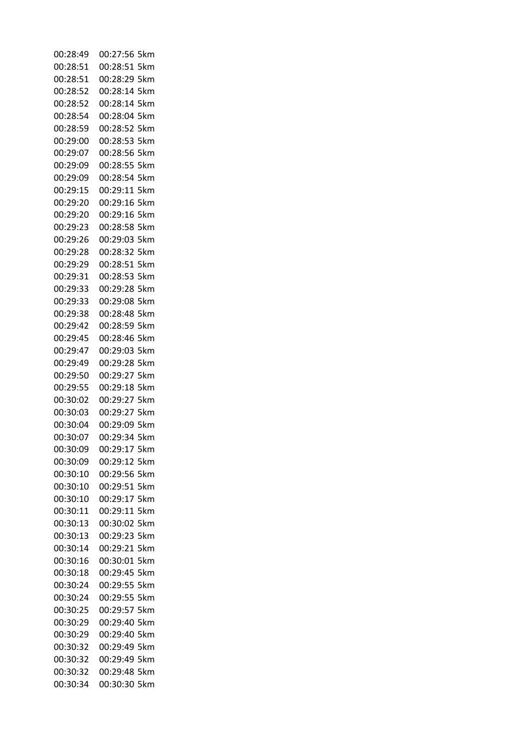| 00:28:49 | 00:27:56 5km    |
|----------|-----------------|
| 00:28:51 | 00:28:51 5km    |
| 00:28:51 | 00:28:29 5km    |
| 00:28:52 | 00:28:14 5km    |
| 00:28:52 | 00:28:14 5km    |
| 00:28:54 | 00:28:04 5km    |
| 00:28:59 | 00:28:52 5km    |
| 00:29:00 | 00:28:53 5km    |
| 00:29:07 | 00:28:56 5km    |
| 00:29:09 | 00:28:55 5km    |
| 00:29:09 | 00:28:54 5km    |
| 00:29:15 | 00:29:11<br>5km |
| 00:29:20 | 00:29:16 5km    |
| 00:29:20 | 00:29:16 5km    |
| 00:29:23 | 00:28:58 5km    |
| 00:29:26 | 00:29:03 5km    |
| 00:29:28 | 00:28:32 5km    |
| 00:29:29 | 00:28:51 5km    |
| 00:29:31 | 00:28:53 5km    |
| 00:29:33 | 00:29:28 5km    |
| 00:29:33 | 00:29:08 5km    |
| 00:29:38 | 00:28:48 5km    |
| 00:29:42 | 00:28:59 5km    |
| 00:29:45 | 00:28:46<br>5km |
| 00:29:47 | 00:29:03<br>5km |
| 00:29:49 | 00:29:28 5km    |
| 00:29:50 | 00:29:27 5km    |
| 00:29:55 | 00:29:18 5km    |
| 00:30:02 | 00:29:27 5km    |
| 00:30:03 | 00:29:27 5km    |
| 00:30:04 | 00:29:09 5km    |
| 00:30:07 | 00:29:34 5km    |
| 00:30:09 | 00:29:17 5km    |
| 00:30:09 | 00:29:12 5km    |
| 00:30:10 | 00:29:56 5km    |
| 00:30:10 | 00:29:51 5km    |
| 00:30:10 | 00:29:17 5km    |
| 00:30:11 | 00:29:11 5km    |
| 00:30:13 | 00:30:02 5km    |
| 00:30:13 | 00:29:23 5km    |
| 00:30:14 | 00:29:21 5km    |
| 00:30:16 | 00:30:01 5km    |
| 00:30:18 | 00:29:45 5km    |
| 00:30:24 | 00:29:55 5km    |
| 00:30:24 | 00:29:55 5km    |
| 00:30:25 | 00:29:57 5km    |
| 00:30:29 | 00:29:40<br>5km |
| 00:30:29 | 00:29:40 5km    |
| 00:30:32 | 00:29:49<br>5km |
| 00:30:32 | 00:29:49 5km    |
| 00:30:32 | 00:29:48 5km    |
| 00:30:34 | 00:30:30 5km    |
|          |                 |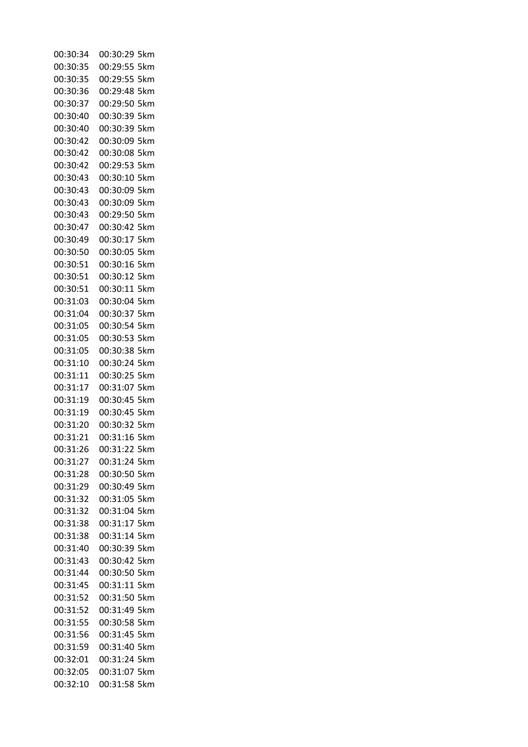| 00:30:34 | 00:30:29 5km    |
|----------|-----------------|
| 00:30:35 | 00:29:55 5km    |
| 00:30:35 | 00:29:55 5km    |
| 00:30:36 | 00:29:48 5km    |
| 00:30:37 | 00:29:50 5km    |
| 00:30:40 | 00:30:39 5km    |
| 00:30:40 | 00:30:39 5km    |
| 00:30:42 | 00:30:09 5km    |
| 00:30:42 | 00:30:08 5km    |
| 00:30:42 | 00:29:53 5km    |
| 00:30:43 | 00:30:10 5km    |
| 00:30:43 | 00:30:09 5km    |
| 00:30:43 | 00:30:09 5km    |
| 00:30:43 | 00:29:50 5km    |
| 00:30:47 | 00:30:42 5km    |
| 00:30:49 | 00:30:17 5km    |
| 00:30:50 | 00:30:05 5km    |
| 00:30:51 | 00:30:16 5km    |
| 00:30:51 | 00:30:12 5km    |
| 00:30:51 | 00:30:11 5km    |
| 00:31:03 | 00:30:04 5km    |
| 00:31:04 | 00:30:37 5km    |
| 00:31:05 | 00:30:54 5km    |
| 00:31:05 | 00:30:53 5km    |
| 00:31:05 | 00:30:38<br>5km |
| 00:31:10 | 00:30:24 5km    |
| 00:31:11 | 00:30:25 5km    |
| 00:31:17 | 00:31:07 5km    |
| 00:31:19 | 00:30:45 5km    |
| 00:31:19 | 00:30:45 5km    |
| 00:31:20 | 00:30:32 5km    |
| 00:31:21 | 00:31:16 5km    |
| 00:31:26 | 00:31:22 5km    |
| 00:31:27 | 00:31:24 5km    |
| 00:31:28 | 00:30:50 5km    |
| 00:31:29 | 00:30:49 5km    |
| 00:31:32 | 00:31:05 5km    |
| 00:31:32 | 00:31:04 5km    |
| 00:31:38 | 00:31:17 5km    |
| 00:31:38 | 00:31:14 5km    |
| 00:31:40 | 00:30:39 5km    |
| 00:31:43 | 00:30:42 5km    |
| 00:31:44 | 00:30:50 5km    |
| 00:31:45 | 00:31:11 5km    |
| 00:31:52 | 00:31:50 5km    |
| 00:31:52 | 00:31:49 5km    |
| 00:31:55 | 00:30:58 5km    |
| 00:31:56 | 00:31:45 5km    |
| 00:31:59 | 00:31:40 5km    |
| 00:32:01 | 00:31:24 5km    |
| 00:32:05 | 00:31:07 5km    |
| 00:32:10 | 00:31:58 5km    |
|          |                 |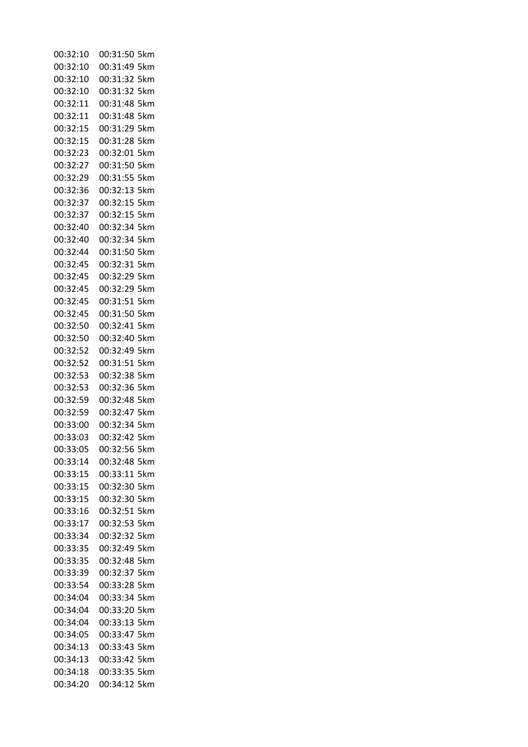| 00:32:10 | 00:31:50 5km    |
|----------|-----------------|
| 00:32:10 | 00:31:49 5km    |
| 00:32:10 | 00:31:32 5km    |
| 00:32:10 | 00:31:32 5km    |
| 00:32:11 | 00:31:48 5km    |
| 00:32:11 | 00:31:48<br>5km |
| 00:32:15 | 00:31:29 5km    |
| 00:32:15 | 00:31:28 5km    |
| 00:32:23 | 00:32:01<br>5km |
| 00:32:27 | 00:31:50 5km    |
| 00:32:29 | 00:31:55 5km    |
| 00:32:36 | 00:32:13<br>5km |
| 00:32:37 | 00:32:15 5km    |
| 00:32:37 | 00:32:15 5km    |
| 00:32:40 | 00:32:34 5km    |
| 00:32:40 | 00:32:34 5km    |
| 00:32:44 | 00:31:50 5km    |
| 00:32:45 | 00:32:31 5km    |
| 00:32:45 | 00:32:29<br>5km |
| 00:32:45 | 00:32:29 5km    |
| 00:32:45 | 00:31:51 5km    |
| 00:32:45 | 00:31:50<br>5km |
| 00:32:50 | 00:32:41<br>5km |
| 00:32:50 | 00:32:40 5km    |
| 00:32:52 | 00:32:49<br>5km |
| 00:32:52 | 00:31:51<br>5km |
| 00:32:53 | 00:32:38 5km    |
| 00:32:53 | 00:32:36<br>5km |
| 00:32:59 | 00:32:48 5km    |
| 00:32:59 | 00:32:47 5km    |
| 00:33:00 | 00:32:34<br>5km |
| 00:33:03 | 00:32:42 5km    |
| 00:33:05 | 00:32:56 5km    |
| 00:33:14 | 00:32:48 5km    |
| 00:33:15 | 00:33:11 5km    |
| 00:33:15 | 00:32:30 5km    |
| 00:33:15 | 00:32:30 5km    |
| 00:33:16 | 00:32:51 5km    |
| 00:33:17 | 00:32:53 5km    |
| 00:33:34 | 00:32:32 5km    |
| 00:33:35 | 00:32:49 5km    |
| 00:33:35 | 00:32:48 5km    |
| 00:33:39 | 00:32:37 5km    |
| 00:33:54 | 00:33:28 5km    |
| 00:34:04 | 00:33:34 5km    |
| 00:34:04 | 00:33:20 5km    |
| 00:34:04 | 00:33:13 5km    |
| 00:34:05 | 00:33:47 5km    |
| 00:34:13 | 00:33:43 5km    |
| 00:34:13 | 00:33:42 5km    |
| 00:34:18 | 00:33:35 5km    |
| 00:34:20 | 00:34:12 5km    |
|          |                 |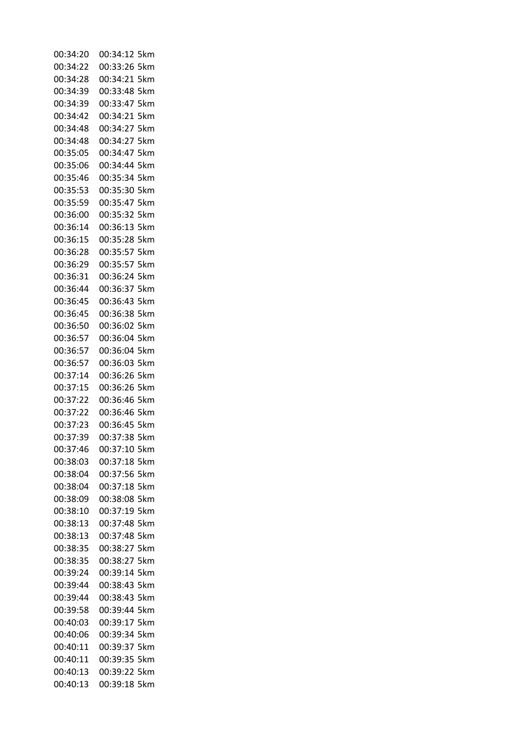| 00:34:20 | 00:34:12 5km    |
|----------|-----------------|
| 00:34:22 | 00:33:26 5km    |
| 00:34:28 | 00:34:21 5km    |
| 00:34:39 | 00:33:48 5km    |
| 00:34:39 | 00:33:47 5km    |
| 00:34:42 | 00:34:21<br>5km |
| 00:34:48 | 00:34:27 5km    |
| 00:34:48 | 00:34:27 5km    |
| 00:35:05 | 00:34:47<br>5km |
| 00:35:06 | 00:34:44<br>5km |
| 00:35:46 | 00:35:34 5km    |
| 00:35:53 | 00:35:30<br>5km |
| 00:35:59 | 00:35:47<br>5km |
| 00:36:00 | 00:35:32 5km    |
| 00:36:14 | 00:36:13<br>5km |
| 00:36:15 | 00:35:28 5km    |
| 00:36:28 | 00:35:57 5km    |
| 00:36:29 | 00:35:57<br>5km |
| 00:36:31 | 00:36:24<br>5km |
|          |                 |
| 00:36:44 | 00:36:37<br>5km |
| 00:36:45 | 00:36:43 5km    |
| 00:36:45 | 00:36:38<br>5km |
| 00:36:50 | 00:36:02<br>5km |
| 00:36:57 | 00:36:04<br>5km |
| 00:36:57 | 00:36:04<br>5km |
| 00:36:57 | 00:36:03<br>5km |
| 00:37:14 | 00:36:26 5km    |
| 00:37:15 | 00:36:26<br>5km |
| 00:37:22 | 00:36:46<br>5km |
| 00:37:22 | 00:36:46 5km    |
| 00:37:23 | 00:36:45<br>5km |
| 00:37:39 | 00:37:38 5km    |
| 00:37:46 | 00:37:10 5km    |
| 00:38:03 | 00:37:18 5km    |
| 00:38:04 | 00:37:56 5km    |
| 00:38:04 | 00:37:18 5km    |
| 00:38:09 | 00:38:08 5km    |
| 00:38:10 | 00:37:19 5km    |
| 00:38:13 | 00:37:48 5km    |
| 00:38:13 | 00:37:48 5km    |
| 00:38:35 | 00:38:27 5km    |
| 00:38:35 | 00:38:27 5km    |
| 00:39:24 | 00:39:14 5km    |
| 00:39:44 | 00:38:43 5km    |
| 00:39:44 | 00:38:43 5km    |
| 00:39:58 | 00:39:44 5km    |
| 00:40:03 | 00:39:17 5km    |
| 00:40:06 | 00:39:34 5km    |
| 00:40:11 | 00:39:37 5km    |
| 00:40:11 | 00:39:35 5km    |
| 00:40:13 | 00:39:22 5km    |
|          |                 |
| 00:40:13 | 00:39:18 5km    |